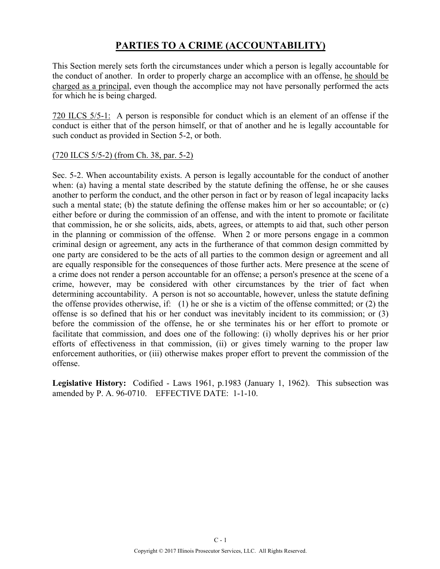### **PARTIES TO A CRIME (ACCOUNTABILITY)**

This Section merely sets forth the circumstances under which a person is legally accountable for the conduct of another. In order to properly charge an accomplice with an offense, he should be charged as a principal, even though the accomplice may not have personally performed the acts for which he is being charged.

720 ILCS 5/5-1: A person is responsible for conduct which is an element of an offense if the conduct is either that of the person himself, or that of another and he is legally accountable for such conduct as provided in Section 5-2, or both.

#### (720 ILCS 5/5-2) (from Ch. 38, par. 5-2)

Sec. 5-2. When accountability exists. A person is legally accountable for the conduct of another when: (a) having a mental state described by the statute defining the offense, he or she causes another to perform the conduct, and the other person in fact or by reason of legal incapacity lacks such a mental state; (b) the statute defining the offense makes him or her so accountable; or (c) either before or during the commission of an offense, and with the intent to promote or facilitate that commission, he or she solicits, aids, abets, agrees, or attempts to aid that, such other person in the planning or commission of the offense. When 2 or more persons engage in a common criminal design or agreement, any acts in the furtherance of that common design committed by one party are considered to be the acts of all parties to the common design or agreement and all are equally responsible for the consequences of those further acts. Mere presence at the scene of a crime does not render a person accountable for an offense; a person's presence at the scene of a crime, however, may be considered with other circumstances by the trier of fact when determining accountability. A person is not so accountable, however, unless the statute defining the offense provides otherwise, if: (1) he or she is a victim of the offense committed; or (2) the offense is so defined that his or her conduct was inevitably incident to its commission; or (3) before the commission of the offense, he or she terminates his or her effort to promote or facilitate that commission, and does one of the following: (i) wholly deprives his or her prior efforts of effectiveness in that commission, (ii) or gives timely warning to the proper law enforcement authorities, or (iii) otherwise makes proper effort to prevent the commission of the offense.

**Legislative History:** Codified - Laws 1961, p.1983 (January 1, 1962). This subsection was amended by P. A. 96-0710. EFFECTIVE DATE: 1-1-10.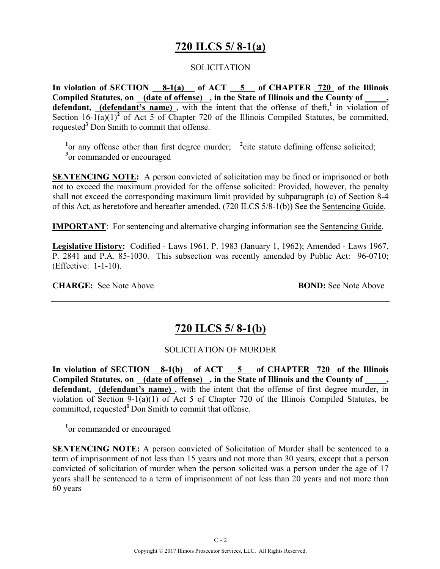## **720 ILCS 5/ 8-1(a)**

#### **SOLICITATION**

**In violation of SECTION 8-1(a) of ACT 5 of CHAPTER 720 of the Illinois**  Compiled Statutes, on (date of offense), in the State of Illinois and the County of, **defendant, (defendant's name)** , with the intent that the offense of theft,**<sup>1</sup>** in violation of Section  $16-1(a)(1)^2$  of Act 5 of Chapter 720 of the Illinois Compiled Statutes, be committed, requested**<sup>3</sup>** Don Smith to commit that offense.

<sup>1</sup> or any offense other than first degree murder; <sup>2</sup> cite statute defining offense solicited; <sup>3</sup> or commanded or encouraged

**SENTENCING NOTE:** A person convicted of solicitation may be fined or imprisoned or both not to exceed the maximum provided for the offense solicited: Provided, however, the penalty shall not exceed the corresponding maximum limit provided by subparagraph (c) of Section 8-4 of this Act, as heretofore and hereafter amended. (720 ILCS 5/8-1(b)) See the Sentencing Guide.

**IMPORTANT**: For sentencing and alternative charging information see the Sentencing Guide.

**Legislative History:** Codified - Laws 1961, P. 1983 (January 1, 1962); Amended - Laws 1967, P. 2841 and P.A. 85-1030. This subsection was recently amended by Public Act: 96-0710; (Effective: 1-1-10).

**CHARGE:** See Note Above **BOND:** See Note Above

### **720 ILCS 5/ 8-1(b)**

#### SOLICITATION OF MURDER

**In violation of SECTION 8-1(b) of ACT 5 of CHAPTER 720 of the Illinois**  Compiled Statutes, on <u>(date of offense)</u>, in the State of Illinois and the County of \_\_\_\_, defendant, (defendant's name), with the intent that the offense of first degree murder, in violation of Section 9-1(a)(1) of Act 5 of Chapter 720 of the Illinois Compiled Statutes, be committed, requested<sup>1</sup> Don Smith to commit that offense.

<sup>1</sup> or commanded or encouraged

**SENTENCING NOTE:** A person convicted of Solicitation of Murder shall be sentenced to a term of imprisonment of not less than 15 years and not more than 30 years, except that a person convicted of solicitation of murder when the person solicited was a person under the age of 17 years shall be sentenced to a term of imprisonment of not less than 20 years and not more than 60 years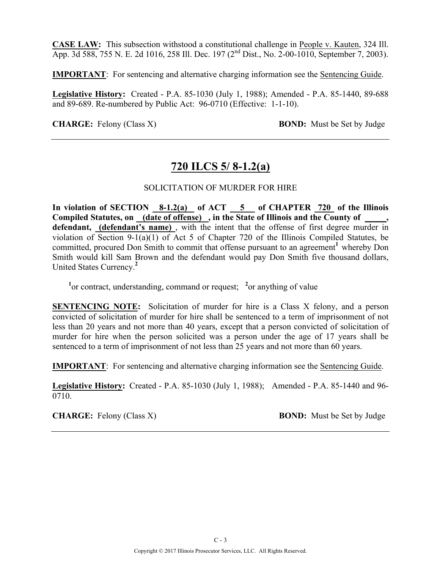**CASE LAW:** This subsection withstood a constitutional challenge in People v. Kauten, 324 Ill. App. 3d 588, 755 N. E. 2d 1016, 258 Ill. Dec. 197 (2nd Dist., No. 2-00-1010, September 7, 2003).

**IMPORTANT**: For sentencing and alternative charging information see the Sentencing Guide.

**Legislative History:** Created - P.A. 85-1030 (July 1, 1988); Amended - P.A. 85-1440, 89-688 and 89-689. Re-numbered by Public Act: 96-0710 (Effective: 1-1-10).

**CHARGE:** Felony (Class X) **BOND:** Must be Set by Judge

### **720 ILCS 5/ 8-1.2(a)**

#### SOLICITATION OF MURDER FOR HIRE

**In violation of SECTION 8-1.2(a) of ACT 5 of CHAPTER 720 of the Illinois Compiled Statutes, on (date of offense) , in the State of Illinois and the County of \_\_\_\_\_, defendant, (defendant's name)** , with the intent that the offense of first degree murder in violation of Section 9-1(a)(1) of Act 5 of Chapter 720 of the Illinois Compiled Statutes, be committed, procured Don Smith to commit that offense pursuant to an agreement<sup>1</sup> whereby Don Smith would kill Sam Brown and the defendant would pay Don Smith five thousand dollars, United States Currency.**<sup>2</sup>**

<sup>1</sup><sup>or</sup> contract, understanding, command or request; <sup>2</sup>or anything of value

**SENTENCING NOTE:** Solicitation of murder for hire is a Class X felony, and a person convicted of solicitation of murder for hire shall be sentenced to a term of imprisonment of not less than 20 years and not more than 40 years, except that a person convicted of solicitation of murder for hire when the person solicited was a person under the age of 17 years shall be sentenced to a term of imprisonment of not less than 25 years and not more than 60 years.

**IMPORTANT**: For sentencing and alternative charging information see the Sentencing Guide.

**Legislative History:** Created - P.A. 85-1030 (July 1, 1988); Amended - P.A. 85-1440 and 96- 0710.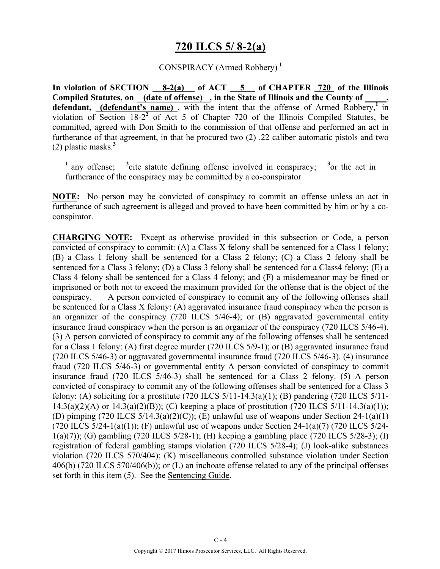### **720 ILCS 5/ 8-2(a)**

#### CONSPIRACY (Armed Robbery) **<sup>1</sup>**

**In violation of SECTION 8-2(a) of ACT 5 of CHAPTER 720 of the Illinois**  Compiled Statutes, on (date of offense), in the State of Illinois and the County of defendant, (defendant's name), with the intent that the offense of Armed Robbery,<sup>1</sup> in violation of Section 18-2**<sup>2</sup>** of Act 5 of Chapter 720 of the Illinois Compiled Statutes, be committed, agreed with Don Smith to the commission of that offense and performed an act in furtherance of that agreement, in that he procured two (2) .22 caliber automatic pistols and two (2) plastic masks.**<sup>3</sup>**

**<sup>1</sup>**any offense; **<sup>2</sup>** <sup>2</sup>cite statute defining offense involved in conspiracy;  $3$ <sub>or</sub> the act in furtherance of the conspiracy may be committed by a co-conspirator

**NOTE:** No person may be convicted of conspiracy to commit an offense unless an act in furtherance of such agreement is alleged and proved to have been committed by him or by a coconspirator.

**CHARGING NOTE:** Except as otherwise provided in this subsection or Code, a person convicted of conspiracy to commit: (A) a Class X felony shall be sentenced for a Class 1 felony; (B) a Class 1 felony shall be sentenced for a Class 2 felony; (C) a Class 2 felony shall be sentenced for a Class 3 felony; (D) a Class 3 felony shall be sentenced for a Class4 felony; (E) a Class 4 felony shall be sentenced for a Class 4 felony; and (F) a misdemeanor may be fined or imprisoned or both not to exceed the maximum provided for the offense that is the object of the conspiracy. A person convicted of conspiracy to commit any of the following offenses shall be sentenced for a Class X felony: (A) aggravated insurance fraud conspiracy when the person is an organizer of the conspiracy (720 ILCS 5/46-4); or (B) aggravated governmental entity insurance fraud conspiracy when the person is an organizer of the conspiracy (720 ILCS 5/46-4). (3) A person convicted of conspiracy to commit any of the following offenses shall be sentenced for a Class 1 felony: (A) first degree murder (720 ILCS 5/9-1); or (B) aggravated insurance fraud (720 ILCS 5/46-3) or aggravated governmental insurance fraud (720 ILCS 5/46-3). (4) insurance fraud (720 ILCS 5/46-3) or governmental entity A person convicted of conspiracy to commit insurance fraud (720 ILCS 5/46-3) shall be sentenced for a Class 2 felony. (5) A person convicted of conspiracy to commit any of the following offenses shall be sentenced for a Class 3 felony: (A) soliciting for a prostitute (720 ILCS  $5/11$ -14.3(a)(1); (B) pandering (720 ILCS  $5/11$ - $14.3(a)(2)(A)$  or  $14.3(a)(2)(B)$ ; (C) keeping a place of prostitution (720 ILCS 5/11-14.3(a)(1)); (D) pimping (720 ILCS  $5/14.3(a)(2)(C)$ ); (E) unlawful use of weapons under Section 24-1(a)(1) (720 ILCS  $5/24-1(a)(1)$ ); (F) unlawful use of weapons under Section 24-1(a)(7) (720 ILCS  $5/24-$ 1(a)(7)); (G) gambling (720 ILCS 5/28-1); (H) keeping a gambling place (720 ILCS 5/28-3); (I) registration of federal gambling stamps violation (720 ILCS 5/28-4); (J) look-alike substances violation (720 ILCS 570/404); (K) miscellaneous controlled substance violation under Section 406(b) (720 ILCS 570/406(b)); or (L) an inchoate offense related to any of the principal offenses set forth in this item (5). See the Sentencing Guide.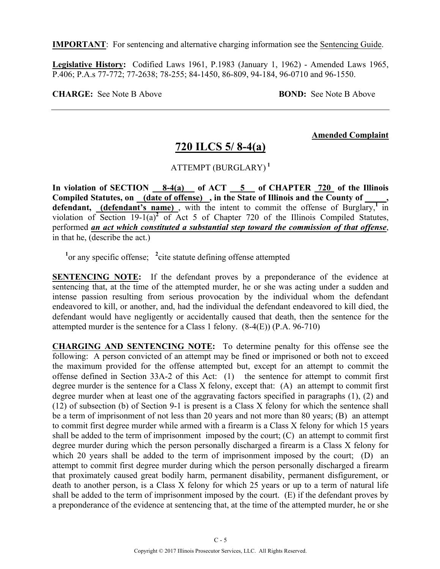**IMPORTANT**: For sentencing and alternative charging information see the Sentencing Guide.

**Legislative History:** Codified Laws 1961, P.1983 (January 1, 1962) - Amended Laws 1965, P.406; P.A.s 77-772; 77-2638; 78-255; 84-1450, 86-809, 94-184, 96-0710 and 96-1550.

**CHARGE:** See Note B Above **BOND:** See Note B Above

**Amended Complaint**

### **720 ILCS 5/ 8-4(a)**

ATTEMPT (BURGLARY) **<sup>1</sup>**

In violation of SECTION 8-4(a) of ACT 5 of CHAPTER 720 of the Illinois **Compiled Statutes, on (date of offense) , in the State of Illinois and the County of \_\_\_\_\_,**  defendant, (defendant's name), with the intent to commit the offense of Burglary,<sup>1</sup> in violation of Section 19-1(a)<sup>2</sup> of Act 5 of Chapter 720 of the Illinois Compiled Statutes, performed *an act which constituted a substantial step toward the commission of that offense*, in that he, (describe the act.)

<sup>1</sup> or any specific offense; <sup>2</sup> cite statute defining offense attempted

**SENTENCING NOTE:** If the defendant proves by a preponderance of the evidence at sentencing that, at the time of the attempted murder, he or she was acting under a sudden and intense passion resulting from serious provocation by the individual whom the defendant endeavored to kill, or another, and, had the individual the defendant endeavored to kill died, the defendant would have negligently or accidentally caused that death, then the sentence for the attempted murder is the sentence for a Class 1 felony. (8-4(E)) (P.A. 96-710)

**CHARGING AND SENTENCING NOTE:** To determine penalty for this offense see the following: A person convicted of an attempt may be fined or imprisoned or both not to exceed the maximum provided for the offense attempted but, except for an attempt to commit the offense defined in Section 33A-2 of this Act: (1) the sentence for attempt to commit first degree murder is the sentence for a Class X felony, except that: (A) an attempt to commit first degree murder when at least one of the aggravating factors specified in paragraphs (1), (2) and (12) of subsection (b) of Section 9-1 is present is a Class X felony for which the sentence shall be a term of imprisonment of not less than 20 years and not more than 80 years; (B) an attempt to commit first degree murder while armed with a firearm is a Class X felony for which 15 years shall be added to the term of imprisonment imposed by the court; (C) an attempt to commit first degree murder during which the person personally discharged a firearm is a Class X felony for which 20 years shall be added to the term of imprisonment imposed by the court; (D) an attempt to commit first degree murder during which the person personally discharged a firearm that proximately caused great bodily harm, permanent disability, permanent disfigurement, or death to another person, is a Class X felony for which 25 years or up to a term of natural life shall be added to the term of imprisonment imposed by the court. (E) if the defendant proves by a preponderance of the evidence at sentencing that, at the time of the attempted murder, he or she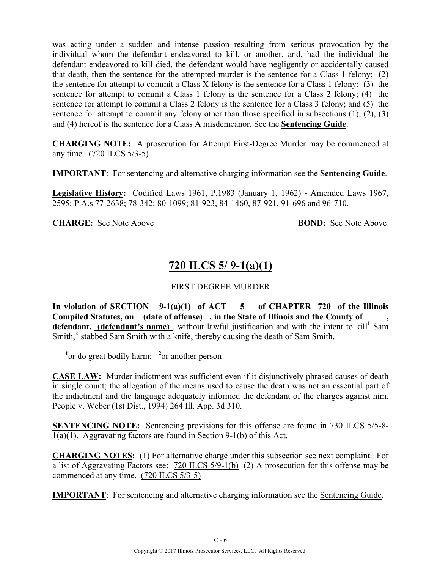was acting under a sudden and intense passion resulting from serious provocation by the individual whom the defendant endeavored to kill, or another, and, had the individual the defendant endeavored to kill died, the defendant would have negligently or accidentally caused that death, then the sentence for the attempted murder is the sentence for a Class 1 felony; (2) the sentence for attempt to commit a Class X felony is the sentence for a Class 1 felony; (3) the sentence for attempt to commit a Class 1 felony is the sentence for a Class 2 felony; (4) the sentence for attempt to commit a Class 2 felony is the sentence for a Class 3 felony; and (5) the sentence for attempt to commit any felony other than those specified in subsections  $(1)$ ,  $(2)$ ,  $(3)$ and (4) hereof is the sentence for a Class A misdemeanor. See the **Sentencing Guide**.

**CHARGING NOTE:** A prosecution for Attempt First-Degree Murder may be commenced at any time. (720 ILCS 5/3-5)

**IMPORTANT**: For sentencing and alternative charging information see the **Sentencing Guide**.

**Legislative History:** Codified Laws 1961, P.1983 (January 1, 1962) - Amended Laws 1967, 2595; P.A.s 77-2638; 78-342; 80-1099; 81-923, 84-1460, 87-921, 91-696 and 96-710.

**CHARGE:** See Note Above **BOND:** See Note Above

# **720 ILCS 5/ 9-1(a)(1)**

### FIRST DEGREE MURDER

In violation of SECTION  $9-1(a)(1)$  of ACT  $5$  of CHAPTER 720 of the Illinois **Compiled Statutes, on (date of offense) , in the State of Illinois and the County of \_\_\_\_\_,**  defendant, (defendant's name), without lawful justification and with the intent to kill<sup>1</sup> Sam Smith,<sup>2</sup> stabbed Sam Smith with a knife, thereby causing the death of Sam Smith.

<sup>1</sup> or do great bodily harm; <sup>2</sup> or another person

**CASE LAW:** Murder indictment was sufficient even if it disjunctively phrased causes of death in single count; the allegation of the means used to cause the death was not an essential part of the indictment and the language adequately informed the defendant of the charges against him. People v. Weber (1st Dist., 1994) 264 Ill. App. 3d 310.

**SENTENCING NOTE:** Sentencing provisions for this offense are found in 730 ILCS 5/5-8- 1(a)(1). Aggravating factors are found in Section 9-1(b) of this Act.

**CHARGING NOTES:** (1) For alternative charge under this subsection see next complaint. For a list of Aggravating Factors see: 720 ILCS 5/9-1(b) (2) A prosecution for this offense may be commenced at any time. (720 ILCS 5/3-5)

**IMPORTANT**: For sentencing and alternative charging information see the Sentencing Guide.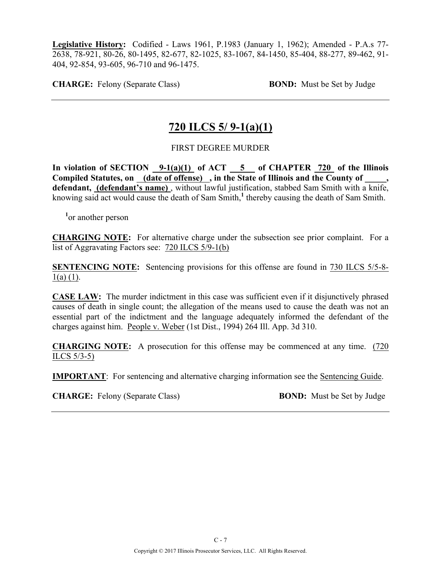**Legislative History:** Codified - Laws 1961, P.1983 (January 1, 1962); Amended - P.A.s 77- 2638, 78-921, 80-26, 80-1495, 82-677, 82-1025, 83-1067, 84-1450, 85-404, 88-277, 89-462, 91- 404, 92-854, 93-605, 96-710 and 96-1475.

**CHARGE:** Felony (Separate Class) **BOND:** Must be Set by Judge

## **720 ILCS 5/ 9-1(a)(1)**

### FIRST DEGREE MURDER

In violation of SECTION  $9-1(a)(1)$  of ACT  $5$  of CHAPTER 720 of the Illinois Compiled Statutes, on (date of offense), in the State of Illinois and the County of **defendant, (defendant's name)** , without lawful justification, stabbed Sam Smith with a knife, knowing said act would cause the death of Sam Smith,<sup>1</sup> thereby causing the death of Sam Smith.

**1** or another person

**CHARGING NOTE:** For alternative charge under the subsection see prior complaint. For a list of Aggravating Factors see: 720 ILCS 5/9-1(b)

**SENTENCING NOTE:** Sentencing provisions for this offense are found in 730 ILCS 5/5-8-  $1(a)$  (1).

**CASE LAW:** The murder indictment in this case was sufficient even if it disjunctively phrased causes of death in single count; the allegation of the means used to cause the death was not an essential part of the indictment and the language adequately informed the defendant of the charges against him. People v. Weber (1st Dist., 1994) 264 Ill. App. 3d 310.

**CHARGING NOTE:** A prosecution for this offense may be commenced at any time. (720 ILCS 5/3-5)

**IMPORTANT**: For sentencing and alternative charging information see the Sentencing Guide.

**CHARGE:** Felony (Separate Class) **BOND:** Must be Set by Judge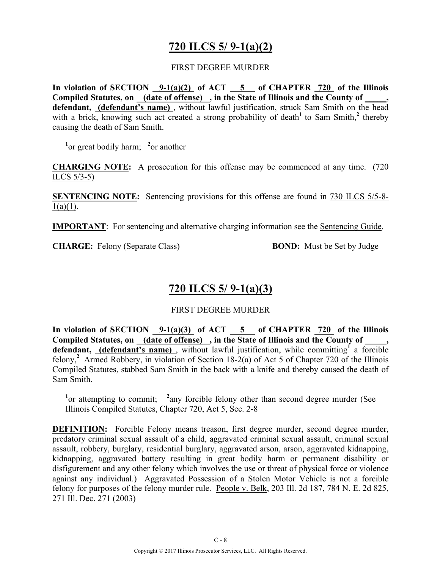# **720 ILCS 5/ 9-1(a)(2)**

#### FIRST DEGREE MURDER

**In violation of SECTION 9-1(a)(2) of ACT 5 of CHAPTER 720 of the Illinois**  Compiled Statutes, on (date of offense), in the State of Illinois and the County of, defendant, (defendant's name), without lawful justification, struck Sam Smith on the head with a brick, knowing such act created a strong probability of death<sup>1</sup> to Sam Smith,<sup>2</sup> thereby causing the death of Sam Smith.

<sup>1</sup><sup>or</sup> great bodily harm; <sup>2</sup><sup>or</sup> another

**CHARGING NOTE:** A prosecution for this offense may be commenced at any time. (720 ILCS  $5/3-5$ 

**SENTENCING NOTE:** Sentencing provisions for this offense are found in 730 ILCS 5/5-8-  $1(a)(1)$ .

**IMPORTANT**: For sentencing and alternative charging information see the Sentencing Guide.

**CHARGE:** Felony (Separate Class) **BOND:** Must be Set by Judge

# **720 ILCS 5/ 9-1(a)(3)**

### FIRST DEGREE MURDER

In violation of SECTION  $9-1(a)(3)$  of ACT  $5$  of CHAPTER  $720$  of the Illinois Compiled Statutes, on <u>(date of offense)</u>, in the State of Illinois and the County of defendant, (defendant's name), without lawful justification, while committing<sup>f</sup> a forcible felony,<sup>2</sup> Armed Robbery, in violation of Section 18-2(a) of Act 5 of Chapter 720 of the Illinois Compiled Statutes, stabbed Sam Smith in the back with a knife and thereby caused the death of Sam Smith.

<sup>1</sup> or attempting to commit; <sup>2</sup> any forcible felony other than second degree murder (See Illinois Compiled Statutes, Chapter 720, Act 5, Sec. 2-8

**DEFINITION:** Forcible Felony means treason, first degree murder, second degree murder, predatory criminal sexual assault of a child, aggravated criminal sexual assault, criminal sexual assault, robbery, burglary, residential burglary, aggravated arson, arson, aggravated kidnapping, kidnapping, aggravated battery resulting in great bodily harm or permanent disability or disfigurement and any other felony which involves the use or threat of physical force or violence against any individual.) Aggravated Possession of a Stolen Motor Vehicle is not a forcible felony for purposes of the felony murder rule. People v. Belk, 203 Ill. 2d 187, 784 N. E. 2d 825, 271 Ill. Dec. 271 (2003)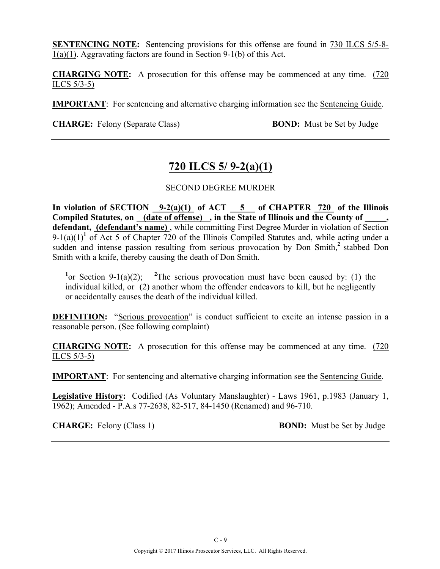**SENTENCING NOTE:** Sentencing provisions for this offense are found in 730 ILCS 5/5-8-1(a)(1). Aggravating factors are found in Section 9-1(b) of this Act.

**CHARGING NOTE:** A prosecution for this offense may be commenced at any time. (720 ILCS 5/3-5)

**IMPORTANT**: For sentencing and alternative charging information see the Sentencing Guide.

**CHARGE:** Felony (Separate Class) **BOND:** Must be Set by Judge

## **720 ILCS 5/ 9-2(a)(1)**

#### SECOND DEGREE MURDER

**In violation of SECTION 9-2(a)(1) of ACT 5 of CHAPTER 720 of the Illinois Compiled Statutes, on (date of offense) , in the State of Illinois and the County of \_\_\_\_\_, defendant, (defendant's name)** , while committing First Degree Murder in violation of Section  $9-1(a)(1)^1$  of Act 5 of Chapter 720 of the Illinois Compiled Statutes and, while acting under a sudden and intense passion resulting from serious provocation by Don Smith,<sup>2</sup> stabbed Don Smith with a knife, thereby causing the death of Don Smith.

<sup>1</sup> or Section 9-1(a)(2); <sup>2</sup>The serious provocation must have been caused by: (1) the individual killed, or (2) another whom the offender endeavors to kill, but he negligently or accidentally causes the death of the individual killed.

**DEFINITION:** "Serious provocation" is conduct sufficient to excite an intense passion in a reasonable person. (See following complaint)

**CHARGING NOTE:** A prosecution for this offense may be commenced at any time. (720 ILCS 5/3-5)

**IMPORTANT**: For sentencing and alternative charging information see the Sentencing Guide.

**Legislative History:** Codified (As Voluntary Manslaughter) - Laws 1961, p.1983 (January 1, 1962); Amended - P.A.s 77-2638, 82-517, 84-1450 (Renamed) and 96-710.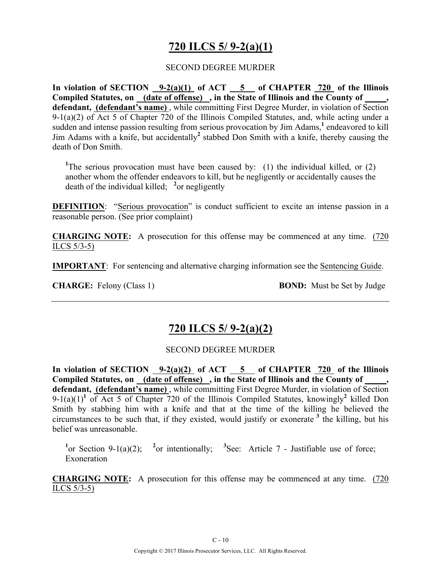# **720 ILCS 5/ 9-2(a)(1)**

#### SECOND DEGREE MURDER

**In violation of SECTION 9-2(a)(1) of ACT 5 of CHAPTER 720 of the Illinois Compiled Statutes, on (date of offense) , in the State of Illinois and the County of \_\_\_\_\_, defendant, (defendant's name)** , while committing First Degree Murder, in violation of Section 9-1(a)(2) of Act 5 of Chapter 720 of the Illinois Compiled Statutes, and, while acting under a sudden and intense passion resulting from serious provocation by Jim Adams,**<sup>1</sup>** endeavored to kill Jim Adams with a knife, but accidentally**<sup>2</sup>** stabbed Don Smith with a knife, thereby causing the death of Don Smith.

<sup>1</sup>The serious provocation must have been caused by: (1) the individual killed, or (2) another whom the offender endeavors to kill, but he negligently or accidentally causes the death of the individual killed; **<sup>2</sup>** or negligently

**DEFINITION:** "Serious provocation" is conduct sufficient to excite an intense passion in a reasonable person. (See prior complaint)

**CHARGING NOTE:** A prosecution for this offense may be commenced at any time. (720 ILCS 5/3-5)

**IMPORTANT**: For sentencing and alternative charging information see the Sentencing Guide.

**CHARGE:** Felony (Class 1) **BOND:** Must be Set by Judge

### **720 ILCS 5/ 9-2(a)(2)**

#### SECOND DEGREE MURDER

**In violation of SECTION 9-2(a)(2) of ACT 5 of CHAPTER 720 of the Illinois**  Compiled Statutes, on (date of offense), in the State of Illinois and the County of **defendant, (defendant's name)** , while committing First Degree Murder, in violation of Section 9-1(a)(1)**<sup>1</sup>** of Act 5 of Chapter 720 of the Illinois Compiled Statutes, knowingly**<sup>2</sup>** killed Don Smith by stabbing him with a knife and that at the time of the killing he believed the circumstances to be such that, if they existed, would justify or exonerate  $3$  the killing, but his belief was unreasonable.

<sup>1</sup>or Section 9-1(a)(2); <sup>2</sup> or intentionally; <sup>3</sup> See: Article 7 - Justifiable use of force; Exoneration

**CHARGING NOTE:** A prosecution for this offense may be commenced at any time. (720 ILCS 5/3-5)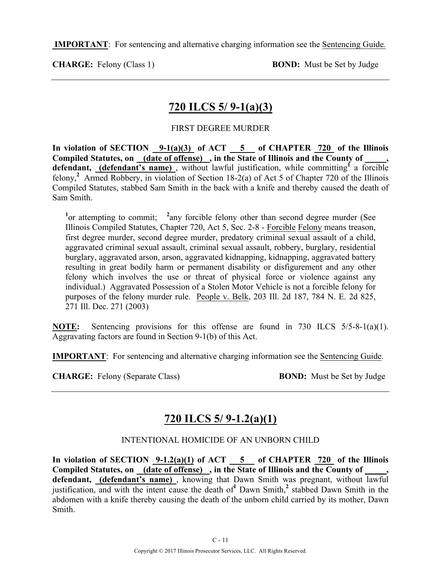**IMPORTANT**: For sentencing and alternative charging information see the Sentencing Guide*.*

**CHARGE:** Felony (Class 1) **BOND:** Must be Set by Judge

## **720 ILCS 5/ 9-1(a)(3)**

### FIRST DEGREE MURDER

In violation of SECTION  $9-1(a)(3)$  of ACT  $5$  of CHAPTER 720 of the Illinois Compiled Statutes, on <u>(date of offense)</u>, in the State of Illinois and the County of defendant, **(defendant's name)**, without lawful justification, while committing<sup>1</sup> a forcible felony,**<sup>2</sup>**Armed Robbery, in violation of Section 18-2(a) of Act 5 of Chapter 720 of the Illinois Compiled Statutes, stabbed Sam Smith in the back with a knife and thereby caused the death of Sam Smith.

<sup>1</sup><sup>or</sup> attempting to commit; <sup>2</sup> any forcible felony other than second degree murder (See Illinois Compiled Statutes, Chapter 720, Act 5, Sec. 2-8 - Forcible Felony means treason, first degree murder, second degree murder, predatory criminal sexual assault of a child, aggravated criminal sexual assault, criminal sexual assault, robbery, burglary, residential burglary, aggravated arson, arson, aggravated kidnapping, kidnapping, aggravated battery resulting in great bodily harm or permanent disability or disfigurement and any other felony which involves the use or threat of physical force or violence against any individual.) Aggravated Possession of a Stolen Motor Vehicle is not a forcible felony for purposes of the felony murder rule. People v. Belk, 203 Ill. 2d 187, 784 N. E. 2d 825, 271 Ill. Dec. 271 (2003)

**NOTE:** Sentencing provisions for this offense are found in 730 ILCS 5/5-8-1(a)(1). Aggravating factors are found in Section 9-1(b) of this Act.

**IMPORTANT**: For sentencing and alternative charging information see the Sentencing Guide.

**CHARGE:** Felony (Separate Class) **BOND:** Must be Set by Judge

## **720 ILCS 5/ 9-1.2(a)(1)**

### INTENTIONAL HOMICIDE OF AN UNBORN CHILD

**In violation of SECTION 9-1.2(a)(1) of ACT 5 of CHAPTER 720 of the Illinois Compiled Statutes, on (date of offense) , in the State of Illinois and the County of \_\_\_\_\_, defendant, (defendant's name)** , knowing that Dawn Smith was pregnant, without lawful justification, and with the intent cause the death of**<sup>1</sup>** Dawn Smith,**<sup>2</sup>** stabbed Dawn Smith in the abdomen with a knife thereby causing the death of the unborn child carried by its mother, Dawn Smith.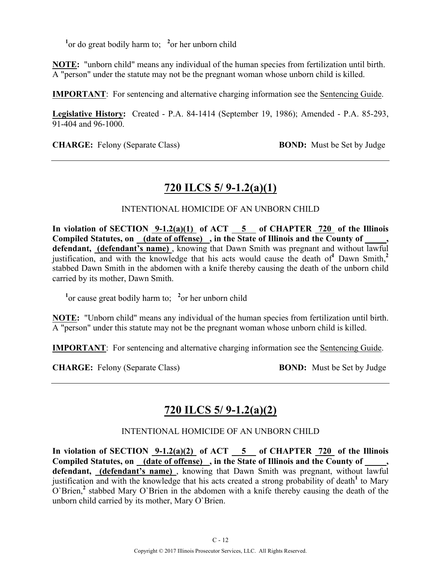<sup>1</sup> or do great bodily harm to; <sup>2</sup> or her unborn child

**NOTE:** "unborn child" means any individual of the human species from fertilization until birth. A "person" under the statute may not be the pregnant woman whose unborn child is killed.

**IMPORTANT**: For sentencing and alternative charging information see the Sentencing Guide.

**Legislative History:** Created - P.A. 84-1414 (September 19, 1986); Amended - P.A. 85-293, 91-404 and 96-1000.

**CHARGE:** Felony (Separate Class) **BOND:** Must be Set by Judge

## **720 ILCS 5/ 9-1.2(a)(1)**

### INTENTIONAL HOMICIDE OF AN UNBORN CHILD

**In violation of SECTION 9-1.2(a)(1) of ACT 5 of CHAPTER 720 of the Illinois**  Compiled Statutes, on (date of offense), in the State of Illinois and the County of defendant, (defendant's name), knowing that Dawn Smith was pregnant and without lawful justification, and with the knowledge that his acts would cause the death of**<sup>1</sup>** Dawn Smith,**<sup>2</sup>** stabbed Dawn Smith in the abdomen with a knife thereby causing the death of the unborn child carried by its mother, Dawn Smith.

<sup>1</sup> or cause great bodily harm to; <sup>2</sup> or her unborn child

**NOTE:** "Unborn child" means any individual of the human species from fertilization until birth. A "person" under this statute may not be the pregnant woman whose unborn child is killed.

**IMPORTANT**: For sentencing and alternative charging information see the Sentencing Guide.

**CHARGE:** Felony (Separate Class) **BOND:** Must be Set by Judge

## **720 ILCS 5/ 9-1.2(a)(2)**

### INTENTIONAL HOMICIDE OF AN UNBORN CHILD

In violation of SECTION  $9-1.2(a)(2)$  of ACT  $-5$  of CHAPTER  $720$  of the Illinois Compiled Statutes, on <u>(date of offense)</u>, in the State of Illinois and the County of **defendant, (defendant's name)** , knowing that Dawn Smith was pregnant, without lawful justification and with the knowledge that his acts created a strong probability of death<sup>1</sup> to Mary O`Brien,**<sup>2</sup>** stabbed Mary O`Brien in the abdomen with a knife thereby causing the death of the unborn child carried by its mother, Mary O`Brien.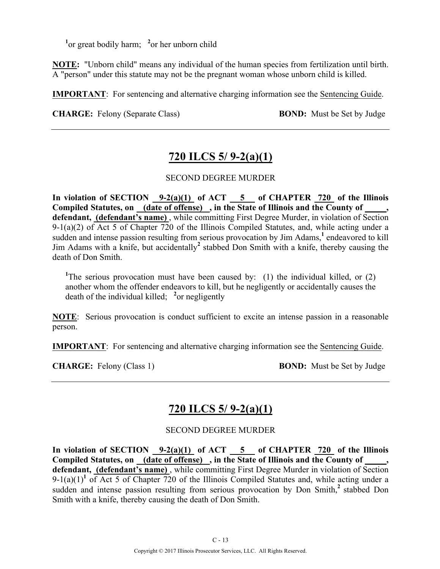<sup>1</sup> or great bodily harm; <sup>2</sup> or her unborn child

**NOTE:** "Unborn child" means any individual of the human species from fertilization until birth. A "person" under this statute may not be the pregnant woman whose unborn child is killed.

**IMPORTANT**: For sentencing and alternative charging information see the Sentencing Guide.

**CHARGE:** Felony (Separate Class) **BOND:** Must be Set by Judge

## **720 ILCS 5/ 9-2(a)(1)**

### SECOND DEGREE MURDER

In violation of SECTION 9-2(a)(1) of ACT 5 of CHAPTER 720 of the Illinois **Compiled Statutes, on (date of offense) , in the State of Illinois and the County of \_\_\_\_\_, defendant, (defendant's name)** , while committing First Degree Murder, in violation of Section 9-1(a)(2) of Act 5 of Chapter 720 of the Illinois Compiled Statutes, and, while acting under a sudden and intense passion resulting from serious provocation by Jim Adams,**<sup>1</sup>** endeavored to kill Jim Adams with a knife, but accidentally**<sup>2</sup>** stabbed Don Smith with a knife, thereby causing the death of Don Smith.

<sup>1</sup>The serious provocation must have been caused by: (1) the individual killed, or  $(2)$ another whom the offender endeavors to kill, but he negligently or accidentally causes the death of the individual killed; **<sup>2</sup>** or negligently

**NOTE**: Serious provocation is conduct sufficient to excite an intense passion in a reasonable person.

**IMPORTANT**: For sentencing and alternative charging information see the Sentencing Guide.

**CHARGE:** Felony (Class 1) **BOND:** Must be Set by Judge

## **720 ILCS 5/ 9-2(a)(1)**

### SECOND DEGREE MURDER

**In violation of SECTION 9-2(a)(1) of ACT 5 of CHAPTER 720 of the Illinois Compiled Statutes, on (date of offense) , in the State of Illinois and the County of \_\_\_\_\_, defendant, (defendant's name)** , while committing First Degree Murder in violation of Section  $9-1(a)(1)^1$  of Act 5 of Chapter 720 of the Illinois Compiled Statutes and, while acting under a sudden and intense passion resulting from serious provocation by Don Smith,<sup>2</sup> stabbed Don Smith with a knife, thereby causing the death of Don Smith.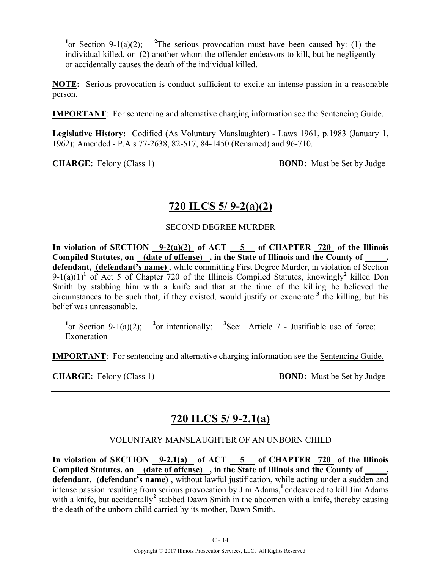<sup>1</sup> or Section 9-1(a)(2); <sup>2</sup>The serious provocation must have been caused by: (1) the individual killed, or (2) another whom the offender endeavors to kill, but he negligently or accidentally causes the death of the individual killed.

**NOTE:** Serious provocation is conduct sufficient to excite an intense passion in a reasonable person.

**IMPORTANT**: For sentencing and alternative charging information see the Sentencing Guide.

**Legislative History:** Codified (As Voluntary Manslaughter) - Laws 1961, p.1983 (January 1, 1962); Amended - P.A.s 77-2638, 82-517, 84-1450 (Renamed) and 96-710.

**CHARGE:** Felony (Class 1) **BOND:** Must be Set by Judge

## **720 ILCS 5/ 9-2(a)(2)**

### SECOND DEGREE MURDER

**In violation of SECTION 9-2(a)(2) of ACT 5 of CHAPTER 720 of the Illinois Compiled Statutes, on (date of offense) , in the State of Illinois and the County of \_\_\_\_\_, defendant, (defendant's name)** , while committing First Degree Murder, in violation of Section 9-1(a)(1)<sup>1</sup> of Act 5 of Chapter 720 of the Illinois Compiled Statutes, knowingly<sup>2</sup> killed Don Smith by stabbing him with a knife and that at the time of the killing he believed the circumstances to be such that, if they existed, would justify or exonerate **<sup>3</sup>** the killing, but his belief was unreasonable.

<sup>1</sup>or Section 9-1(a)(2); <sup>2</sup> or intentionally; <sup>3</sup> See: Article 7 - Justifiable use of force; Exoneration

**IMPORTANT**: For sentencing and alternative charging information see the Sentencing Guide.

**CHARGE:** Felony (Class 1) **BOND:** Must be Set by Judge

### **720 ILCS 5/ 9-2.1(a)**

### VOLUNTARY MANSLAUGHTER OF AN UNBORN CHILD

**In violation of SECTION 9-2.1(a) of ACT 5 of CHAPTER 720 of the Illinois Compiled Statutes, on (date of offense) , in the State of Illinois and the County of \_\_\_\_\_, defendant, (defendant's name)** , without lawful justification, while acting under a sudden and intense passion resulting from serious provocation by Jim Adams,<sup>1</sup> endeavored to kill Jim Adams with a knife, but accidentally<sup>2</sup> stabbed Dawn Smith in the abdomen with a knife, thereby causing the death of the unborn child carried by its mother, Dawn Smith.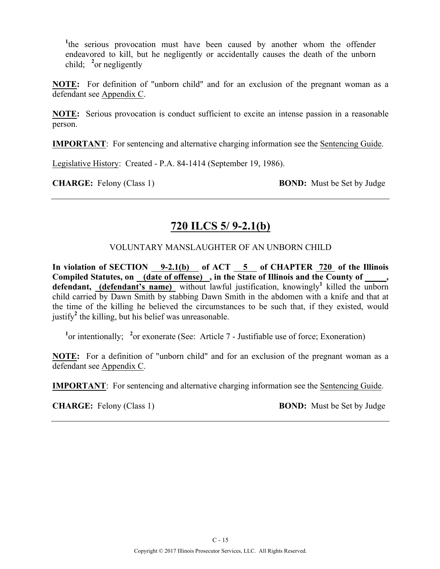<sup>1</sup>the serious provocation must have been caused by another whom the offender endeavored to kill, but he negligently or accidentally causes the death of the unborn child; **<sup>2</sup>** or negligently

**NOTE:** For definition of "unborn child" and for an exclusion of the pregnant woman as a defendant see Appendix C.

**NOTE:** Serious provocation is conduct sufficient to excite an intense passion in a reasonable person.

**IMPORTANT**: For sentencing and alternative charging information see the Sentencing Guide.

Legislative History: Created - P.A. 84-1414 (September 19, 1986).

**CHARGE:** Felony (Class 1) **BOND:** Must be Set by Judge

### **720 ILCS 5/ 9-2.1(b)**

### VOLUNTARY MANSLAUGHTER OF AN UNBORN CHILD

**In violation of SECTION 9-2.1(b) of ACT 5 of CHAPTER 720 of the Illinois**  Compiled Statutes, on (date of offense), in the State of Illinois and the County of  $\,$ , **defendant, (defendant's name)** without lawful justification, knowingly**<sup>1</sup>** killed the unborn child carried by Dawn Smith by stabbing Dawn Smith in the abdomen with a knife and that at the time of the killing he believed the circumstances to be such that, if they existed, would justify<sup>2</sup> the killing, but his belief was unreasonable.

<sup>1</sup> or intentionally; <sup>2</sup> or exonerate (See: Article 7 - Justifiable use of force; Exoneration)

**NOTE:** For a definition of "unborn child" and for an exclusion of the pregnant woman as a defendant see Appendix C.

**IMPORTANT**: For sentencing and alternative charging information see the Sentencing Guide.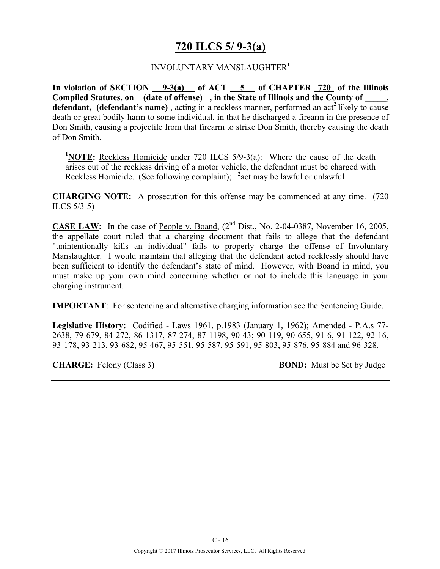# **720 ILCS 5/ 9-3(a)**

#### INVOLUNTARY MANSLAUGHTER**<sup>1</sup>**

**In violation of SECTION 9-3(a) of ACT 5 of CHAPTER 720 of the Illinois**  Compiled Statutes, on (date of offense), in the State of Illinois and the County of, **defendant, (defendant's name)** , acting in a reckless manner, performed an act**<sup>2</sup>**likely to cause death or great bodily harm to some individual, in that he discharged a firearm in the presence of Don Smith, causing a projectile from that firearm to strike Don Smith, thereby causing the death of Don Smith.

<sup>1</sup>NOTE: Reckless Homicide under 720 ILCS 5/9-3(a): Where the cause of the death arises out of the reckless driving of a motor vehicle, the defendant must be charged with Reckless Homicide. (See following complaint); **<sup>2</sup>** act may be lawful or unlawful

**CHARGING NOTE:** A prosecution for this offense may be commenced at any time. (720 ILCS 5/3-5)

**CASE LAW:** In the case of People v. Boand,  $(2^{nd}$  Dist., No. 2-04-0387, November 16, 2005, the appellate court ruled that a charging document that fails to allege that the defendant "unintentionally kills an individual" fails to properly charge the offense of Involuntary Manslaughter. I would maintain that alleging that the defendant acted recklessly should have been sufficient to identify the defendant's state of mind. However, with Boand in mind, you must make up your own mind concerning whether or not to include this language in your charging instrument.

**IMPORTANT**: For sentencing and alternative charging information see the Sentencing Guide.

**Legislative History:** Codified - Laws 1961, p.1983 (January 1, 1962); Amended - P.A.s 77- 2638, 79-679, 84-272, 86-1317, 87-274, 87-1198, 90-43; 90-119, 90-655, 91-6, 91-122, 92-16, 93-178, 93-213, 93-682, 95-467, 95-551, 95-587, 95-591, 95-803, 95-876, 95-884 and 96-328.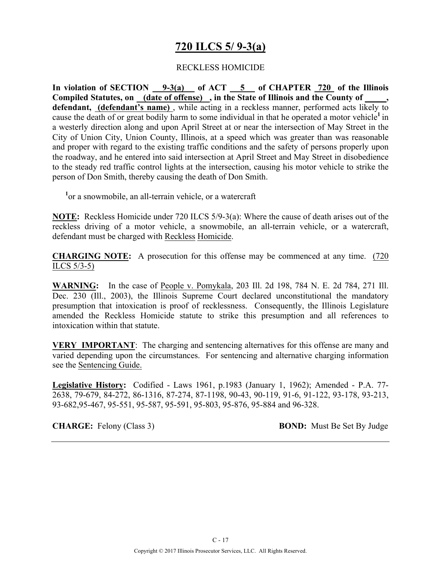# **720 ILCS 5/ 9-3(a)**

#### RECKLESS HOMICIDE

**In violation of SECTION 9-3(a) of ACT 5 of CHAPTER 720 of the Illinois Compiled Statutes, on (date of offense) , in the State of Illinois and the County of \_\_\_\_\_,**  defendant, (defendant's name), while acting in a reckless manner, performed acts likely to cause the death of or great bodily harm to some individual in that he operated a motor vehicle**<sup>1</sup>**in a westerly direction along and upon April Street at or near the intersection of May Street in the City of Union City, Union County, Illinois, at a speed which was greater than was reasonable and proper with regard to the existing traffic conditions and the safety of persons properly upon the roadway, and he entered into said intersection at April Street and May Street in disobedience to the steady red traffic control lights at the intersection, causing his motor vehicle to strike the person of Don Smith, thereby causing the death of Don Smith.

**1** or a snowmobile, an all-terrain vehicle, or a watercraft

**NOTE:** Reckless Homicide under 720 ILCS 5/9-3(a): Where the cause of death arises out of the reckless driving of a motor vehicle, a snowmobile, an all-terrain vehicle, or a watercraft, defendant must be charged with Reckless Homicide.

**CHARGING NOTE:** A prosecution for this offense may be commenced at any time. (720 ILCS 5/3-5)

**WARNING:** In the case of People v. Pomykala, 203 Ill. 2d 198, 784 N. E. 2d 784, 271 Ill. Dec. 230 (Ill., 2003), the Illinois Supreme Court declared unconstitutional the mandatory presumption that intoxication is proof of recklessness. Consequently, the Illinois Legislature amended the Reckless Homicide statute to strike this presumption and all references to intoxication within that statute.

**VERY IMPORTANT**: The charging and sentencing alternatives for this offense are many and varied depending upon the circumstances. For sentencing and alternative charging information see the Sentencing Guide.

**Legislative History:** Codified - Laws 1961, p.1983 (January 1, 1962); Amended - P.A. 77- 2638, 79-679, 84-272, 86-1316, 87-274, 87-1198, 90-43, 90-119, 91-6, 91-122, 93-178, 93-213, 93-682,95-467, 95-551, 95-587, 95-591, 95-803, 95-876, 95-884 and 96-328.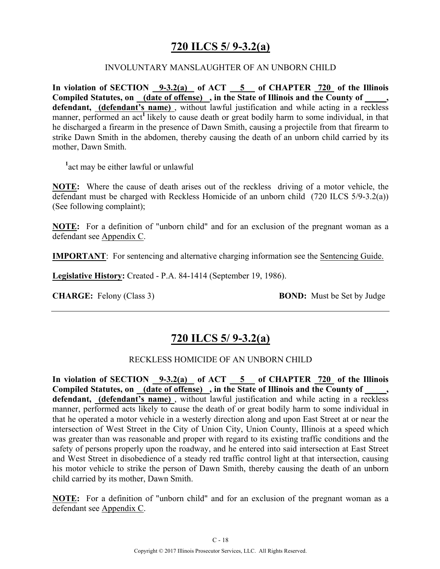## **720 ILCS 5/ 9-3.2(a)**

#### INVOLUNTARY MANSLAUGHTER OF AN UNBORN CHILD

**In violation of SECTION 9-3.2(a) of ACT 5 of CHAPTER 720 of the Illinois**  Compiled Statutes, on **(date of offense)**, in the State of Illinois and the County of defendant, (defendant's name), without lawful justification and while acting in a reckless manner, performed an act<sup>1</sup> likely to cause death or great bodily harm to some individual, in that he discharged a firearm in the presence of Dawn Smith, causing a projectile from that firearm to strike Dawn Smith in the abdomen, thereby causing the death of an unborn child carried by its mother, Dawn Smith.

**1** act may be either lawful or unlawful

**NOTE:** Where the cause of death arises out of the reckless driving of a motor vehicle, the defendant must be charged with Reckless Homicide of an unborn child (720 ILCS 5/9-3.2(a)) (See following complaint);

**NOTE:** For a definition of "unborn child" and for an exclusion of the pregnant woman as a defendant see Appendix C.

**IMPORTANT**: For sentencing and alternative charging information see the Sentencing Guide.

**Legislative History:** Created - P.A. 84-1414 (September 19, 1986).

**CHARGE:** Felony (Class 3) **BOND:** Must be Set by Judge

### **720 ILCS 5/ 9-3.2(a)**

#### RECKLESS HOMICIDE OF AN UNBORN CHILD

In violation of SECTION 9-3.2(a) of ACT 5 of CHAPTER 720 of the Illinois Compiled Statutes, on (date of offense), in the State of Illinois and the County of **defendant, (defendant's name)** , without lawful justification and while acting in a reckless manner, performed acts likely to cause the death of or great bodily harm to some individual in that he operated a motor vehicle in a westerly direction along and upon East Street at or near the intersection of West Street in the City of Union City, Union County, Illinois at a speed which was greater than was reasonable and proper with regard to its existing traffic conditions and the safety of persons properly upon the roadway, and he entered into said intersection at East Street and West Street in disobedience of a steady red traffic control light at that intersection, causing his motor vehicle to strike the person of Dawn Smith, thereby causing the death of an unborn child carried by its mother, Dawn Smith.

**NOTE:** For a definition of "unborn child" and for an exclusion of the pregnant woman as a defendant see Appendix C.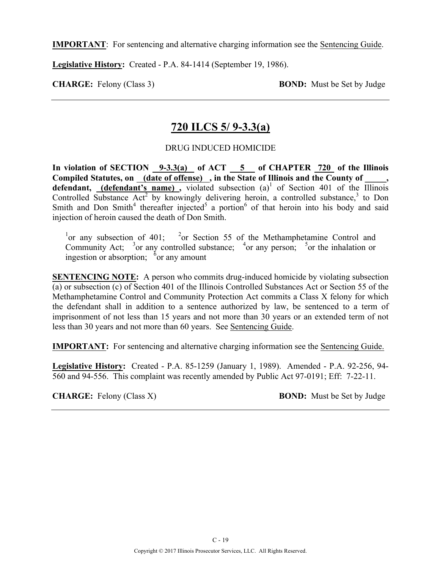**IMPORTANT**: For sentencing and alternative charging information see the Sentencing Guide.

**Legislative History:** Created - P.A. 84-1414 (September 19, 1986).

**CHARGE:** Felony (Class 3) **BOND:** Must be Set by Judge

### **720 ILCS 5/ 9-3.3(a)**

### DRUG INDUCED HOMICIDE

**In violation of SECTION 9-3.3(a) of ACT 5 of CHAPTER 720 of the Illinois**  Compiled Statutes, on (date of offense), in the State of Illinois and the County of defendant, **(defendant's name)**, violated subsection  $(a)^1$  of Section 401 of the Illinois Controlled Substance  $Act^2$  by knowingly delivering heroin, a controlled substance,<sup>3</sup> to Don Smith and Don Smith<sup>4</sup> thereafter injected<sup>5</sup> a portion<sup>6</sup> of that heroin into his body and said injection of heroin caused the death of Don Smith.

<sup>1</sup>or any subsection of 401; <sup>2</sup>or Section 55 of the Methamphetamine Control and Community Act;  $3$  or any controlled substance;  $4$  or any person;  $5$  or the inhalation or ingestion or absorption;  $\delta$  or any amount

**SENTENCING NOTE:** A person who commits drug-induced homicide by violating subsection (a) or subsection (c) of Section 401 of the Illinois Controlled Substances Act or Section 55 of the Methamphetamine Control and Community Protection Act commits a Class X felony for which the defendant shall in addition to a sentence authorized by law, be sentenced to a term of imprisonment of not less than 15 years and not more than 30 years or an extended term of not less than 30 years and not more than 60 years. See Sentencing Guide.

**IMPORTANT:** For sentencing and alternative charging information see the Sentencing Guide.

**Legislative History:** Created - P.A. 85-1259 (January 1, 1989). Amended - P.A. 92-256, 94- 560 and 94-556. This complaint was recently amended by Public Act 97-0191; Eff: 7-22-11.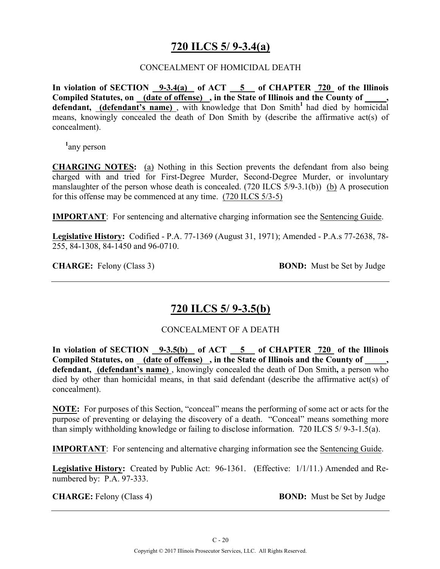## **720 ILCS 5/ 9-3.4(a)**

#### CONCEALMENT OF HOMICIDAL DEATH

**In violation of SECTION 9-3.4(a) of ACT 5 of CHAPTER 720 of the Illinois**  Compiled Statutes, on \_\_\_(date of offense) \_, in the State of Illinois and the County of **defendant, (defendant's name)**, with knowledge that Don Smith<sup>1</sup> had died by homicidal means, knowingly concealed the death of Don Smith by (describe the affirmative act(s) of concealment).

**1** any person

**CHARGING NOTES:** (a) Nothing in this Section prevents the defendant from also being charged with and tried for First-Degree Murder, Second-Degree Murder, or involuntary manslaughter of the person whose death is concealed. (720 ILCS 5/9-3.1(b)) (b) A prosecution for this offense may be commenced at any time. (720 ILCS 5/3-5)

**IMPORTANT**: For sentencing and alternative charging information see the Sentencing Guide.

**Legislative History:** Codified - P.A. 77-1369 (August 31, 1971); Amended - P.A.s 77-2638, 78- 255, 84-1308, 84-1450 and 96-0710.

**CHARGE:** Felony (Class 3) **BOND:** Must be Set by Judge

### **720 ILCS 5/ 9-3.5(b)**

### CONCEALMENT OF A DEATH

**In violation of SECTION 9-3.5(b) of ACT 5 of CHAPTER 720 of the Illinois Compiled Statutes, on (date of offense) , in the State of Illinois and the County of \_\_\_\_\_, defendant, (defendant's name)** , knowingly concealed the death of Don Smith**,** a person who died by other than homicidal means, in that said defendant (describe the affirmative act(s) of concealment).

**NOTE:** For purposes of this Section, "conceal" means the performing of some act or acts for the purpose of preventing or delaying the discovery of a death. "Conceal" means something more than simply withholding knowledge or failing to disclose information. 720 ILCS 5/ 9-3-1.5(a).

**IMPORTANT**: For sentencing and alternative charging information see the Sentencing Guide.

**Legislative History:** Created by Public Act: 96-1361. (Effective: 1/1/11.) Amended and Renumbered by: P.A. 97-333.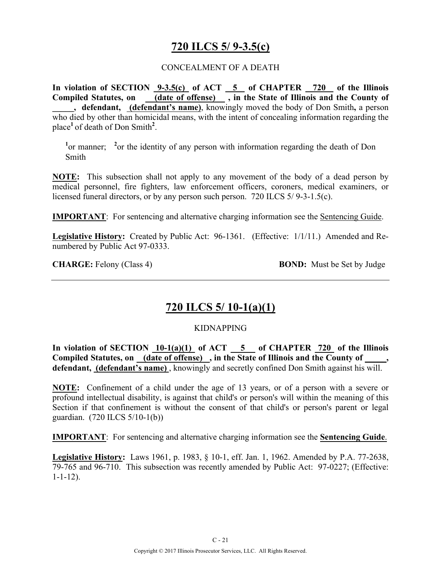## **720 ILCS 5/ 9-3.5(c)**

#### CONCEALMENT OF A DEATH

**In violation of SECTION 9-3.5(c) of ACT 5 of CHAPTER 720 of the Illinois**  Compiled Statutes, on **(date of offense)**, in the State of Illinois and the County of **\_\_\_\_\_, defendant, (defendant's name)**, knowingly moved the body of Don Smith**,** a person who died by other than homicidal means, with the intent of concealing information regarding the place**<sup>1</sup>**of death of Don Smith**<sup>2</sup>** .

<sup>1</sup> or manner; <sup>2</sup> or the identity of any person with information regarding the death of Don Smith

**NOTE:** This subsection shall not apply to any movement of the body of a dead person by medical personnel, fire fighters, law enforcement officers, coroners, medical examiners, or licensed funeral directors, or by any person such person. 720 ILCS 5/ 9-3-1.5(c).

**IMPORTANT**: For sentencing and alternative charging information see the Sentencing Guide.

**Legislative History:** Created by Public Act: 96-1361. (Effective: 1/1/11.)Amended and Renumbered by Public Act 97-0333.

**CHARGE:** Felony (Class 4) **BOND:** Must be Set by Judge

### **720 ILCS 5/ 10-1(a)(1)**

#### KIDNAPPING

**In violation of SECTION 10-1(a)(1) of ACT 5 of CHAPTER 720 of the Illinois Compiled Statutes, on (date of offense) , in the State of Illinois and the County of \_\_\_\_\_, defendant, (defendant's name)** , knowingly and secretly confined Don Smith against his will.

**NOTE:** Confinement of a child under the age of 13 years, or of a person with a severe or profound intellectual disability, is against that child's or person's will within the meaning of this Section if that confinement is without the consent of that child's or person's parent or legal guardian. (720 ILCS 5/10-1(b))

**IMPORTANT**: For sentencing and alternative charging information see the **Sentencing Guide**.

**Legislative History:** Laws 1961, p. 1983, § 10-1, eff. Jan. 1, 1962. Amended by P.A. 77-2638, 79-765 and 96-710. This subsection was recently amended by Public Act: 97-0227; (Effective: 1-1-12).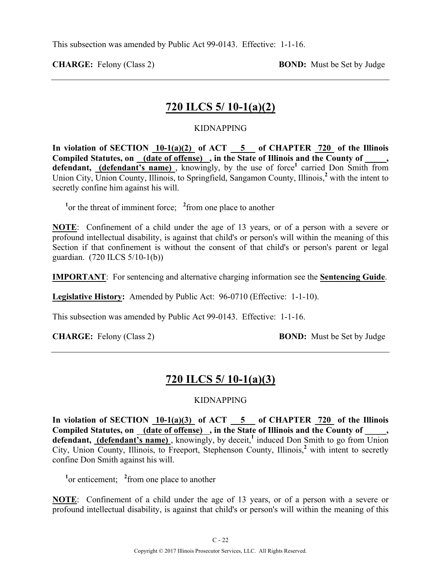**CHARGE:** Felony (Class 2) **BOND:** Must be Set by Judge

## **720 ILCS 5/ 10-1(a)(2)**

#### KIDNAPPING

**In violation of SECTION 10-1(a)(2) of ACT 5 of CHAPTER 720 of the Illinois**  Compiled Statutes, on (date of offense), in the State of Illinois and the County of **defendant, (defendant's name)**, knowingly, by the use of force<sup>1</sup> carried Don Smith from Union City, Union County, Illinois, to Springfield, Sangamon County, Illinois,**<sup>2</sup>** with the intent to secretly confine him against his will.

<sup>1</sup><sup>or</sup> the threat of imminent force; <sup>2</sup> from one place to another

**NOTE**: Confinement of a child under the age of 13 years, or of a person with a severe or profound intellectual disability, is against that child's or person's will within the meaning of this Section if that confinement is without the consent of that child's or person's parent or legal guardian. (720 ILCS 5/10-1(b))

**IMPORTANT**: For sentencing and alternative charging information see the **Sentencing Guide**.

**Legislative History:** Amended by Public Act: 96-0710 (Effective: 1-1-10).

This subsection was amended by Public Act 99-0143. Effective: 1-1-16.

**CHARGE:** Felony (Class 2) **BOND:** Must be Set by Judge

### **720 ILCS 5/ 10-1(a)(3)**

#### KIDNAPPING

**In violation of SECTION 10-1(a)(3) of ACT 5 of CHAPTER 720 of the Illinois**  Compiled Statutes, on (date of offense), in the State of Illinois and the County of defendant, (defendant's name), knowingly, by deceit,<sup>1</sup> induced Don Smith to go from Union City, Union County, Illinois, to Freeport, Stephenson County, Illinois,**<sup>2</sup>** with intent to secretly confine Don Smith against his will.

<sup>1</sup><sub>or</sub> enticement; <sup>2</sup> from one place to another

**NOTE**: Confinement of a child under the age of 13 years, or of a person with a severe or profound intellectual disability, is against that child's or person's will within the meaning of this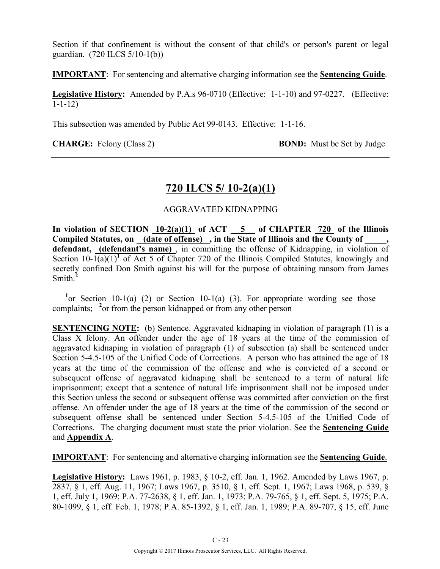Section if that confinement is without the consent of that child's or person's parent or legal guardian. (720 ILCS 5/10-1(b))

**IMPORTANT**: For sentencing and alternative charging information see the **Sentencing Guide**.

**Legislative History:** Amended by P.A.s 96-0710 (Effective: 1-1-10) and 97-0227. (Effective: 1-1-12)

This subsection was amended by Public Act 99-0143. Effective: 1-1-16.

**CHARGE:** Felony (Class 2) **BOND:** Must be Set by Judge

### **720 ILCS 5/ 10-2(a)(1)**

#### AGGRAVATED KIDNAPPING

**In violation of SECTION 10-2(a)(1) of ACT 5 of CHAPTER 720 of the Illinois**  Compiled Statutes, on (date of offense), in the State of Illinois and the County of **defendant, (defendant's name)** , in committing the offense of Kidnapping, in violation of Section  $10\text{-}1(a)(1)^1$  of Act 5 of Chapter 720 of the Illinois Compiled Statutes, knowingly and secretly confined Don Smith against his will for the purpose of obtaining ransom from James Smith.**<sup>2</sup>**

<sup>1</sup> or Section 10-1(a) (2) or Section 10-1(a) (3). For appropriate wording see those complaints; <sup>2</sup> or from the person kidnapped or from any other person

**SENTENCING NOTE:** (b) Sentence. Aggravated kidnaping in violation of paragraph (1) is a Class X felony. An offender under the age of 18 years at the time of the commission of aggravated kidnaping in violation of paragraph (1) of subsection (a) shall be sentenced under Section 5-4.5-105 of the Unified Code of Corrections. A person who has attained the age of 18 years at the time of the commission of the offense and who is convicted of a second or subsequent offense of aggravated kidnaping shall be sentenced to a term of natural life imprisonment; except that a sentence of natural life imprisonment shall not be imposed under this Section unless the second or subsequent offense was committed after conviction on the first offense. An offender under the age of 18 years at the time of the commission of the second or subsequent offense shall be sentenced under Section 5-4.5-105 of the Unified Code of Corrections. The charging document must state the prior violation. See the **Sentencing Guide** and **Appendix A**.

**IMPORTANT**: For sentencing and alternative charging information see the **Sentencing Guide**.

**Legislative History:** Laws 1961, p. 1983, § 10-2, eff. Jan. 1, 1962. Amended by Laws 1967, p. 2837, § 1, eff. Aug. 11, 1967; Laws 1967, p. 3510, § 1, eff. Sept. 1, 1967; Laws 1968, p. 539, § 1, eff. July 1, 1969; P.A. 77-2638, § 1, eff. Jan. 1, 1973; P.A. 79-765, § 1, eff. Sept. 5, 1975; P.A. 80-1099, § 1, eff. Feb. 1, 1978; P.A. 85-1392, § 1, eff. Jan. 1, 1989; P.A. 89-707, § 15, eff. June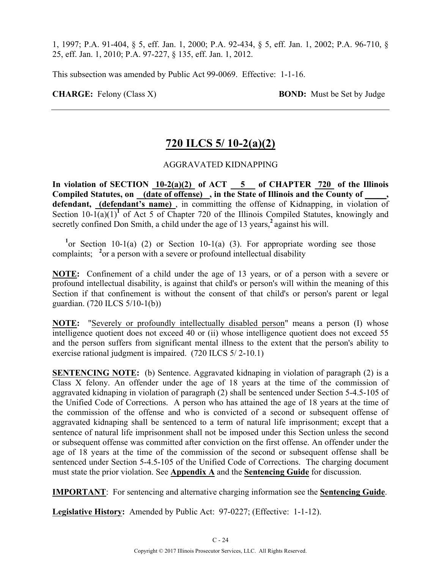1, 1997; P.A. 91-404, § 5, eff. Jan. 1, 2000; P.A. 92-434, § 5, eff. Jan. 1, 2002; P.A. 96-710, § 25, eff. Jan. 1, 2010; P.A. 97-227, § 135, eff. Jan. 1, 2012.

This subsection was amended by Public Act 99-0069. Effective: 1-1-16.

**CHARGE:** Felony (Class X) **BOND:** Must be Set by Judge

# **720 ILCS 5/ 10-2(a)(2)**

#### AGGRAVATED KIDNAPPING

In violation of SECTION 10-2(a)(2) of ACT 5 of CHAPTER 720 of the Illinois **Compiled Statutes, on (date of offense) , in the State of Illinois and the County of \_\_\_\_\_,**  defendant, (defendant's name), in committing the offense of Kidnapping, in violation of Section  $10-1(a)(1)^1$  of Act 5 of Chapter 720 of the Illinois Compiled Statutes, knowingly and secretly confined Don Smith, a child under the age of 13 years,<sup>2</sup> against his will.

<sup>1</sup> or Section 10-1(a) (2) or Section 10-1(a) (3). For appropriate wording see those complaints; <sup>2</sup> or a person with a severe or profound intellectual disability

**NOTE:** Confinement of a child under the age of 13 years, or of a person with a severe or profound intellectual disability, is against that child's or person's will within the meaning of this Section if that confinement is without the consent of that child's or person's parent or legal guardian. (720 ILCS 5/10-1(b))

**NOTE:** "Severely or profoundly intellectually disabled person" means a person (I) whose intelligence quotient does not exceed 40 or (ii) whose intelligence quotient does not exceed 55 and the person suffers from significant mental illness to the extent that the person's ability to exercise rational judgment is impaired. (720 ILCS 5/ 2-10.1)

**SENTENCING NOTE:** (b) Sentence. Aggravated kidnaping in violation of paragraph (2) is a Class X felony. An offender under the age of 18 years at the time of the commission of aggravated kidnaping in violation of paragraph (2) shall be sentenced under Section 5-4.5-105 of the Unified Code of Corrections. A person who has attained the age of 18 years at the time of the commission of the offense and who is convicted of a second or subsequent offense of aggravated kidnaping shall be sentenced to a term of natural life imprisonment; except that a sentence of natural life imprisonment shall not be imposed under this Section unless the second or subsequent offense was committed after conviction on the first offense. An offender under the age of 18 years at the time of the commission of the second or subsequent offense shall be sentenced under Section 5-4.5-105 of the Unified Code of Corrections. The charging document must state the prior violation. See **Appendix A** and the **Sentencing Guide** for discussion.

**IMPORTANT**: For sentencing and alternative charging information see the **Sentencing Guide**.

**Legislative History:** Amended by Public Act: 97-0227; (Effective: 1-1-12).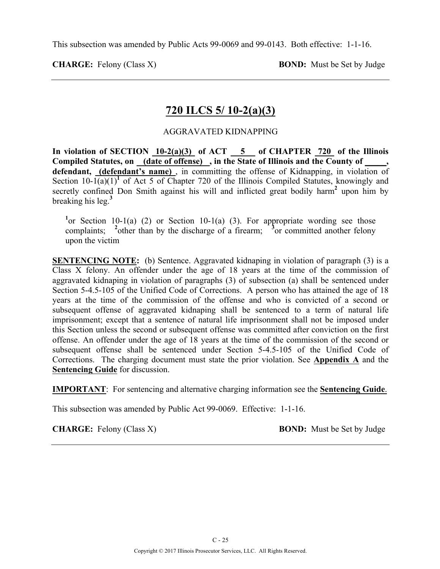This subsection was amended by Public Acts 99-0069 and 99-0143. Both effective: 1-1-16.

**CHARGE:** Felony (Class X) **BOND:** Must be Set by Judge

## **720 ILCS 5/ 10-2(a)(3)**

#### AGGRAVATED KIDNAPPING

**In violation of SECTION 10-2(a)(3) of ACT 5 of CHAPTER 720 of the Illinois Compiled Statutes, on (date of offense) , in the State of Illinois and the County of \_\_\_\_\_, defendant, (defendant's name)** , in committing the offense of Kidnapping, in violation of Section  $10-1(a)(1)^1$  of Act 5 of Chapter 720 of the Illinois Compiled Statutes, knowingly and secretly confined Don Smith against his will and inflicted great bodily harm<sup>2</sup> upon him by breaking his leg.**<sup>3</sup>**

<sup>1</sup> or Section 10-1(a) (2) or Section 10-1(a) (3). For appropriate wording see those complaints; <sup>2</sup> other than by the discharge of a firearm; <sup>3</sup> or committed another felony upon the victim

**SENTENCING NOTE:** (b) Sentence. Aggravated kidnaping in violation of paragraph (3) is a Class X felony. An offender under the age of 18 years at the time of the commission of aggravated kidnaping in violation of paragraphs (3) of subsection (a) shall be sentenced under Section 5-4.5-105 of the Unified Code of Corrections. A person who has attained the age of 18 years at the time of the commission of the offense and who is convicted of a second or subsequent offense of aggravated kidnaping shall be sentenced to a term of natural life imprisonment; except that a sentence of natural life imprisonment shall not be imposed under this Section unless the second or subsequent offense was committed after conviction on the first offense. An offender under the age of 18 years at the time of the commission of the second or subsequent offense shall be sentenced under Section 5-4.5-105 of the Unified Code of Corrections. The charging document must state the prior violation. See **Appendix A** and the **Sentencing Guide** for discussion.

**IMPORTANT**: For sentencing and alternative charging information see the **Sentencing Guide**.

This subsection was amended by Public Act 99-0069. Effective: 1-1-16.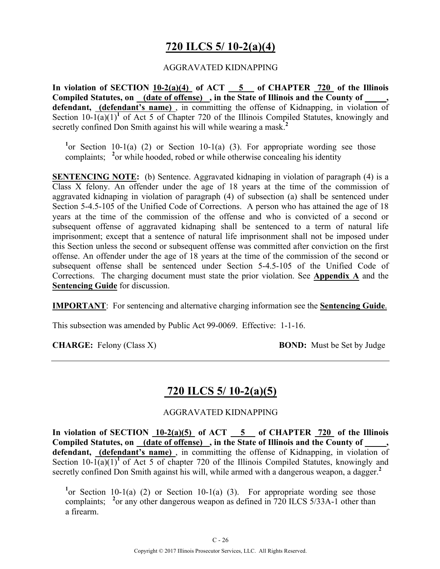## **720 ILCS 5/ 10-2(a)(4)**

#### AGGRAVATED KIDNAPPING

**In violation of SECTION 10-2(a)(4) of ACT 5 of CHAPTER 720 of the Illinois**  Compiled Statutes, on **(date of offense)**, in the State of Illinois and the County of **defendant, (defendant's name)** , in committing the offense of Kidnapping, in violation of Section  $10-1(a)(1)^1$  of Act 5 of Chapter 720 of the Illinois Compiled Statutes, knowingly and secretly confined Don Smith against his will while wearing a mask.**<sup>2</sup>**

<sup>1</sup> or Section 10-1(a) (2) or Section 10-1(a) (3). For appropriate wording see those complaints; <sup>2</sup>or while hooded, robed or while otherwise concealing his identity

**SENTENCING NOTE:** (b) Sentence. Aggravated kidnaping in violation of paragraph (4) is a Class X felony. An offender under the age of 18 years at the time of the commission of aggravated kidnaping in violation of paragraph (4) of subsection (a) shall be sentenced under Section 5-4.5-105 of the Unified Code of Corrections. A person who has attained the age of 18 years at the time of the commission of the offense and who is convicted of a second or subsequent offense of aggravated kidnaping shall be sentenced to a term of natural life imprisonment; except that a sentence of natural life imprisonment shall not be imposed under this Section unless the second or subsequent offense was committed after conviction on the first offense. An offender under the age of 18 years at the time of the commission of the second or subsequent offense shall be sentenced under Section 5-4.5-105 of the Unified Code of Corrections. The charging document must state the prior violation. See **Appendix A** and the **Sentencing Guide** for discussion.

**IMPORTANT**: For sentencing and alternative charging information see the **Sentencing Guide**.

This subsection was amended by Public Act 99-0069. Effective: 1-1-16.

**CHARGE:** Felony (Class X) **BOND:** Must be Set by Judge

### **720 ILCS 5/ 10-2(a)(5)**

#### AGGRAVATED KIDNAPPING

**In violation of SECTION 10-2(a)(5) of ACT 5 of CHAPTER 720 of the Illinois Compiled Statutes, on (date of offense) , in the State of Illinois and the County of \_\_\_\_\_, defendant, (defendant's name)** , in committing the offense of Kidnapping, in violation of Section  $10-1(a)(1)^1$  of Act 5 of chapter 720 of the Illinois Compiled Statutes, knowingly and secretly confined Don Smith against his will, while armed with a dangerous weapon, a dagger.<sup>2</sup>

<sup>1</sup> or Section 10-1(a) (2) or Section 10-1(a) (3). For appropriate wording see those complaints; <sup>2</sup> or any other dangerous weapon as defined in 720 ILCS 5/33A-1 other than a firearm.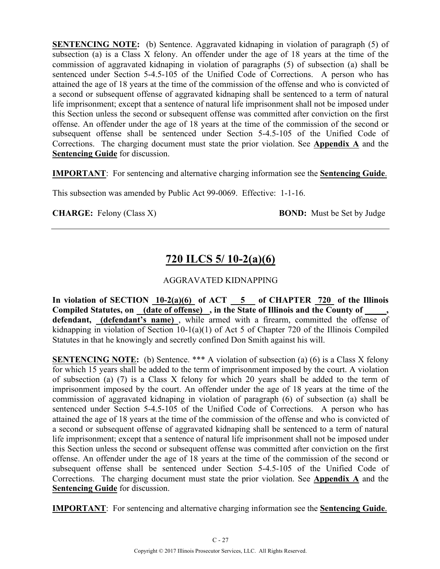**SENTENCING NOTE:** (b) Sentence. Aggravated kidnaping in violation of paragraph (5) of subsection (a) is a Class X felony. An offender under the age of 18 years at the time of the commission of aggravated kidnaping in violation of paragraphs (5) of subsection (a) shall be sentenced under Section 5-4.5-105 of the Unified Code of Corrections. A person who has attained the age of 18 years at the time of the commission of the offense and who is convicted of a second or subsequent offense of aggravated kidnaping shall be sentenced to a term of natural life imprisonment; except that a sentence of natural life imprisonment shall not be imposed under this Section unless the second or subsequent offense was committed after conviction on the first offense. An offender under the age of 18 years at the time of the commission of the second or subsequent offense shall be sentenced under Section 5-4.5-105 of the Unified Code of Corrections. The charging document must state the prior violation. See **Appendix A** and the **Sentencing Guide** for discussion.

**IMPORTANT**: For sentencing and alternative charging information see the **Sentencing Guide**.

This subsection was amended by Public Act 99-0069. Effective: 1-1-16.

**CHARGE:** Felony (Class X) **BOND:** Must be Set by Judge

# **720 ILCS 5/ 10-2(a)(6)**

### AGGRAVATED KIDNAPPING

In violation of SECTION  $\underline{10-2(a)(6)}$  of ACT  $\underline{5}$  of CHAPTER  $\underline{720}$  of the Illinois Compiled Statutes, on (date of offense), in the State of Illinois and the County of **defendant, (defendant's name)** , while armed with a firearm, committed the offense of kidnapping in violation of Section 10-1(a)(1) of Act 5 of Chapter 720 of the Illinois Compiled Statutes in that he knowingly and secretly confined Don Smith against his will.

**SENTENCING NOTE:** (b) Sentence. \*\*\* A violation of subsection (a) (6) is a Class X felony for which 15 years shall be added to the term of imprisonment imposed by the court. A violation of subsection (a) (7) is a Class X felony for which 20 years shall be added to the term of imprisonment imposed by the court. An offender under the age of 18 years at the time of the commission of aggravated kidnaping in violation of paragraph (6) of subsection (a) shall be sentenced under Section 5-4.5-105 of the Unified Code of Corrections. A person who has attained the age of 18 years at the time of the commission of the offense and who is convicted of a second or subsequent offense of aggravated kidnaping shall be sentenced to a term of natural life imprisonment; except that a sentence of natural life imprisonment shall not be imposed under this Section unless the second or subsequent offense was committed after conviction on the first offense. An offender under the age of 18 years at the time of the commission of the second or subsequent offense shall be sentenced under Section 5-4.5-105 of the Unified Code of Corrections. The charging document must state the prior violation. See **Appendix A** and the **Sentencing Guide** for discussion.

**IMPORTANT**: For sentencing and alternative charging information see the **Sentencing Guide**.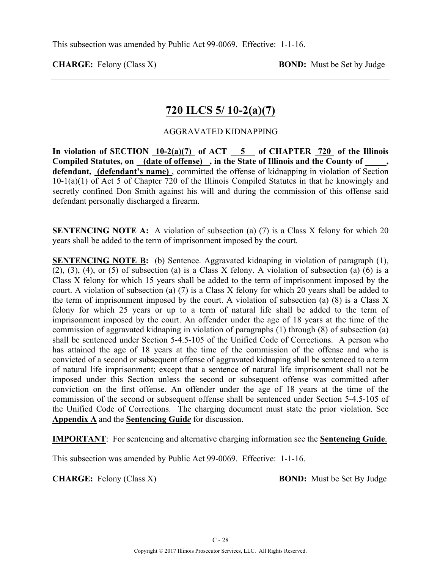## **720 ILCS 5/ 10-2(a)(7)**

#### AGGRAVATED KIDNAPPING

In violation of SECTION  $10-2(a)(7)$  of ACT  $-5$  of CHAPTER 720 of the Illinois **Compiled Statutes, on (date of offense) , in the State of Illinois and the County of \_\_\_\_\_, defendant, (defendant's name)** , committed the offense of kidnapping in violation of Section 10-1(a)(1) of Act 5 of Chapter 720 of the Illinois Compiled Statutes in that he knowingly and secretly confined Don Smith against his will and during the commission of this offense said defendant personally discharged a firearm.

**SENTENCING NOTE A:** A violation of subsection (a) (7) is a Class X felony for which 20 years shall be added to the term of imprisonment imposed by the court.

**SENTENCING NOTE B:** (b) Sentence. Aggravated kidnaping in violation of paragraph (1),  $(2)$ ,  $(3)$ ,  $(4)$ , or  $(5)$  of subsection  $(a)$  is a Class X felony. A violation of subsection  $(a)$   $(6)$  is a Class X felony for which 15 years shall be added to the term of imprisonment imposed by the court. A violation of subsection (a) (7) is a Class X felony for which 20 years shall be added to the term of imprisonment imposed by the court. A violation of subsection (a)  $(8)$  is a Class X felony for which 25 years or up to a term of natural life shall be added to the term of imprisonment imposed by the court. An offender under the age of 18 years at the time of the commission of aggravated kidnaping in violation of paragraphs (1) through (8) of subsection (a) shall be sentenced under Section 5-4.5-105 of the Unified Code of Corrections. A person who has attained the age of 18 years at the time of the commission of the offense and who is convicted of a second or subsequent offense of aggravated kidnaping shall be sentenced to a term of natural life imprisonment; except that a sentence of natural life imprisonment shall not be imposed under this Section unless the second or subsequent offense was committed after conviction on the first offense. An offender under the age of 18 years at the time of the commission of the second or subsequent offense shall be sentenced under Section 5-4.5-105 of the Unified Code of Corrections. The charging document must state the prior violation. See **Appendix A** and the **Sentencing Guid***e* for discussion.

**IMPORTANT**: For sentencing and alternative charging information see the **Sentencing Guide**.

This subsection was amended by Public Act 99-0069. Effective: 1-1-16.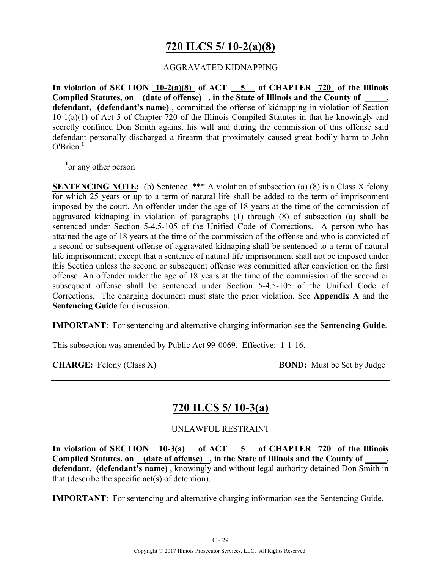# **720 ILCS 5/ 10-2(a)(8)**

#### AGGRAVATED KIDNAPPING

**In violation of SECTION 10-2(a)(8) of ACT 5 of CHAPTER 720 of the Illinois Compiled Statutes, on (date of offense) , in the State of Illinois and the County of \_\_\_\_\_, defendant, (defendant's name)** , committed the offense of kidnapping in violation of Section 10-1(a)(1) of Act 5 of Chapter 720 of the Illinois Compiled Statutes in that he knowingly and secretly confined Don Smith against his will and during the commission of this offense said defendant personally discharged a firearm that proximately caused great bodily harm to John O'Brien.**<sup>1</sup>**

<sup>1</sup> or any other person

**SENTENCING NOTE:** (b) Sentence. \*\*\* A violation of subsection (a) (8) is a Class X felony for which 25 years or up to a term of natural life shall be added to the term of imprisonment imposed by the court. An offender under the age of 18 years at the time of the commission of aggravated kidnaping in violation of paragraphs (1) through (8) of subsection (a) shall be sentenced under Section 5-4.5-105 of the Unified Code of Corrections. A person who has attained the age of 18 years at the time of the commission of the offense and who is convicted of a second or subsequent offense of aggravated kidnaping shall be sentenced to a term of natural life imprisonment; except that a sentence of natural life imprisonment shall not be imposed under this Section unless the second or subsequent offense was committed after conviction on the first offense. An offender under the age of 18 years at the time of the commission of the second or subsequent offense shall be sentenced under Section 5-4.5-105 of the Unified Code of Corrections. The charging document must state the prior violation. See **Appendix A** and the **Sentencing Guide** for discussion.

**IMPORTANT**: For sentencing and alternative charging information see the **Sentencing Guide**.

This subsection was amended by Public Act 99-0069. Effective: 1-1-16.

**CHARGE:** Felony (Class X) **BOND:** Must be Set by Judge

### **720 ILCS 5/ 10-3(a)**

### UNLAWFUL RESTRAINT

In violation of SECTION 10-3(a) of ACT 5 of CHAPTER 720 of the Illinois **Compiled Statutes, on (date of offense) , in the State of Illinois and the County of \_\_\_\_\_, defendant, (defendant's name)** , knowingly and without legal authority detained Don Smith in that (describe the specific act(s) of detention).

**IMPORTANT**: For sentencing and alternative charging information see the Sentencing Guide.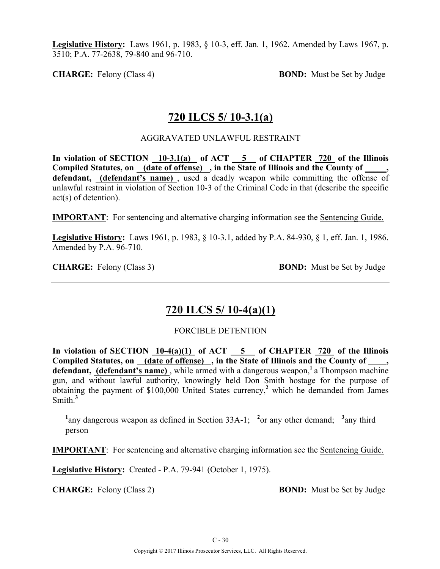**Legislative History:** Laws 1961, p. 1983, § 10-3, eff. Jan. 1, 1962. Amended by Laws 1967, p. 3510; P.A. 77-2638, 79-840 and 96-710.

**CHARGE:** Felony (Class 4) **BOND:** Must be Set by Judge

### **720 ILCS 5/ 10-3.1(a)**

AGGRAVATED UNLAWFUL RESTRAINT

**In violation of SECTION 10-3.1(a) of ACT 5 of CHAPTER 720 of the Illinois Compiled Statutes, on (date of offense) , in the State of Illinois and the County of \_\_\_\_\_, defendant, (defendant's name)** , used a deadly weapon while committing the offense of unlawful restraint in violation of Section 10-3 of the Criminal Code in that (describe the specific act(s) of detention).

**IMPORTANT**: For sentencing and alternative charging information see the Sentencing Guide.

**Legislative History:** Laws 1961, p. 1983, § 10-3.1, added by P.A. 84-930, § 1, eff. Jan. 1, 1986. Amended by P.A. 96-710.

**CHARGE:** Felony (Class 3) **BOND:** Must be Set by Judge

## **720 ILCS 5/ 10-4(a)(1)**

FORCIBLE DETENTION

In violation of SECTION  $10-4(a)(1)$  of ACT  $\overline{\hspace{1cm}}$  5 of CHAPTER  $\overline{\hspace{1cm}}$  720 of the Illinois Compiled Statutes, on (date of offense), in the State of Illinois and the County of defendant, (defendant's name), while armed with a dangerous weapon,<sup>1</sup> a Thompson machine gun, and without lawful authority, knowingly held Don Smith hostage for the purpose of obtaining the payment of \$100,000 United States currency,**<sup>2</sup>** which he demanded from James Smith.**<sup>3</sup>**

<sup>1</sup>any dangerous weapon as defined in Section 33A-1; <sup>2</sup> or any other demand; <sup>3</sup> any third person

**IMPORTANT**: For sentencing and alternative charging information see the Sentencing Guide.

**Legislative History:** Created - P.A. 79-941 (October 1, 1975).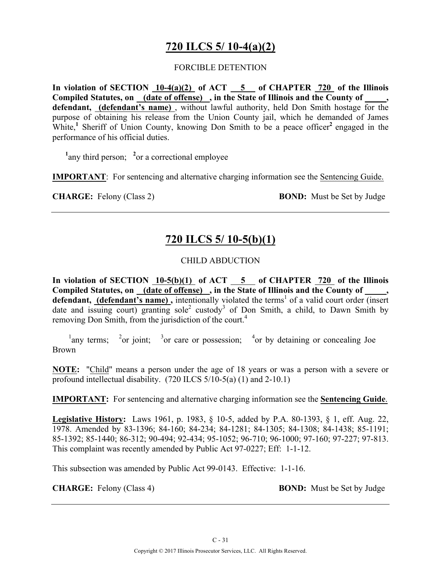# **720 ILCS 5/ 10-4(a)(2)**

#### FORCIBLE DETENTION

**In violation of SECTION 10-4(a)(2) of ACT 5 of CHAPTER 720 of the Illinois Compiled Statutes, on (date of offense) , in the State of Illinois and the County of \_\_\_\_\_, defendant, (defendant's name)** , without lawful authority, held Don Smith hostage for the purpose of obtaining his release from the Union County jail, which he demanded of James White,<sup>1</sup> Sheriff of Union County, knowing Don Smith to be a peace officer<sup>2</sup> engaged in the performance of his official duties.

<sup>1</sup>any third person; <sup>2</sup> or a correctional employee

**IMPORTANT**: For sentencing and alternative charging information see the Sentencing Guide.

**CHARGE:** Felony (Class 2) **BOND:** Must be Set by Judge

# **720 ILCS 5/ 10-5(b)(1)**

### CHILD ABDUCTION

In violation of SECTION 10-5(b)(1) of ACT 5 of CHAPTER 720 of the Illinois Compiled Statutes, on (date of offense), in the State of Illinois and the County of defendant, (defendant's name), intentionally violated the terms<sup>1</sup> of a valid court order (insert date and issuing court) granting sole<sup>2</sup> custody<sup>3</sup> of Don Smith, a child, to Dawn Smith by removing Don Smith, from the jurisdiction of the court.<sup>4</sup>

<sup>1</sup>any terms; <sup>2</sup>or joint; <sup>3</sup>or care or possession; <sup>4</sup>or by detaining or concealing Joe Brown

**NOTE:** "Child" means a person under the age of 18 years or was a person with a severe or profound intellectual disability. (720 ILCS 5/10-5(a) (1) and 2-10.1)

**IMPORTANT:** For sentencing and alternative charging information see the **Sentencing Guide**.

**Legislative History:** Laws 1961, p. 1983, § 10-5, added by P.A. 80-1393, § 1, eff. Aug. 22, 1978. Amended by 83-1396; 84-160; 84-234; 84-1281; 84-1305; 84-1308; 84-1438; 85-1191; 85-1392; 85-1440; 86-312; 90-494; 92-434; 95-1052; 96-710; 96-1000; 97-160; 97-227; 97-813. This complaint was recently amended by Public Act 97-0227; Eff: 1-1-12.

This subsection was amended by Public Act 99-0143. Effective: 1-1-16.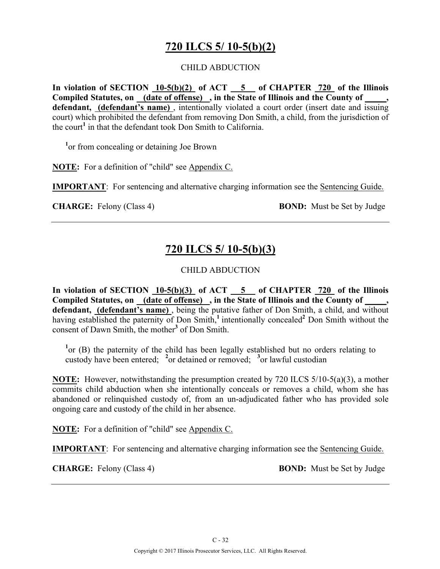# **720 ILCS 5/ 10-5(b)(2)**

#### CHILD ABDUCTION

**In violation of SECTION 10-5(b)(2) of ACT 5 of CHAPTER 720 of the Illinois Compiled Statutes, on (date of offense) , in the State of Illinois and the County of \_\_\_\_\_, defendant, (defendant's name)** , intentionally violated a court order (insert date and issuing court) which prohibited the defendant from removing Don Smith, a child, from the jurisdiction of the court**<sup>1</sup>** in that the defendant took Don Smith to California.

<sup>1</sup> or from concealing or detaining Joe Brown

**NOTE:** For a definition of "child" see Appendix C.

**IMPORTANT**: For sentencing and alternative charging information see the Sentencing Guide.

**CHARGE:** Felony (Class 4) **BOND:** Must be Set by Judge

## **720 ILCS 5/ 10-5(b)(3)**

### CHILD ABDUCTION

**In violation of SECTION 10-5(b)(3) of ACT 5 of CHAPTER 720 of the Illinois**  Compiled Statutes, on (date of offense), in the State of Illinois and the County of **defendant, (defendant's name)** , being the putative father of Don Smith, a child, and without having established the paternity of Don Smith,<sup>1</sup> intentionally concealed<sup>2</sup> Don Smith without the consent of Dawn Smith, the mother**<sup>3</sup>** of Don Smith.

<sup>1</sup> or (B) the paternity of the child has been legally established but no orders relating to custody have been entered; **<sup>2</sup>** or detained or removed; **<sup>3</sup>** or lawful custodian

**NOTE:** However, notwithstanding the presumption created by 720 ILCS 5/10-5(a)(3), a mother commits child abduction when she intentionally conceals or removes a child, whom she has abandoned or relinquished custody of, from an un-adjudicated father who has provided sole ongoing care and custody of the child in her absence.

**NOTE:** For a definition of "child" see Appendix C.

**IMPORTANT**: For sentencing and alternative charging information see the Sentencing Guide.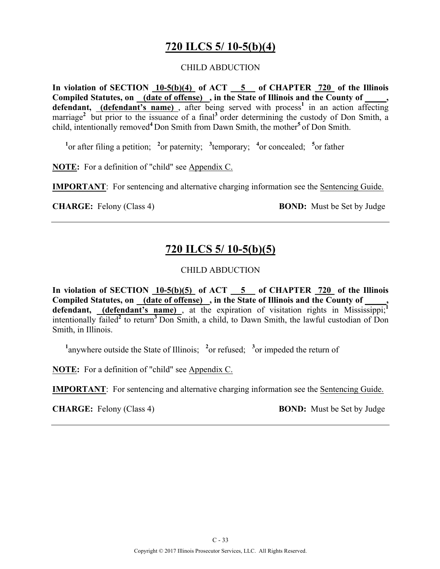## **720 ILCS 5/ 10-5(b)(4)**

#### CHILD ABDUCTION

**In violation of SECTION 10-5(b)(4) of ACT 5 of CHAPTER 720 of the Illinois**  Compiled Statutes, on (date of offense), in the State of Illinois and the County of **defendant,** (**defendant's name**), after being served with process<sup>1</sup> in an action affecting marriage<sup>2</sup> but prior to the issuance of a final<sup>3</sup> order determining the custody of Don Smith, a child, intentionally removed**<sup>4</sup>**Don Smith from Dawn Smith, the mother**<sup>5</sup>**of Don Smith.

<sup>1</sup><sup>or</sup> after filing a petition; <sup>2</sup><sup>or</sup> paternity; <sup>3</sup><sup>temporary; <sup>4</sup><sup>or</sup> concealed; <sup>5</sup><sup>or</sup> father</sup>

**NOTE:** For a definition of "child" see Appendix C.

**IMPORTANT**: For sentencing and alternative charging information see the Sentencing Guide.

**CHARGE:** Felony (Class 4) **BOND:** Must be Set by Judge

## **720 ILCS 5/ 10-5(b)(5)**

### CHILD ABDUCTION

**In violation of SECTION 10-5(b)(5) of ACT 5 of CHAPTER 720 of the Illinois**  Compiled Statutes, on (date of offense), in the State of Illinois and the County of defendant, **(defendant's name)**, at the expiration of visitation rights in Mississippi;<sup>1</sup><br>intentionally  $6.1 \frac{12}{12}$   $\frac{3.2}{12}$   $\frac{2}{12}$ intentionally failed**<sup>2</sup>** to return**<sup>3</sup>**Don Smith, a child, to Dawn Smith, the lawful custodian of Don Smith, in Illinois.

<sup>1</sup>anywhere outside the State of Illinois; <sup>2</sup> or refused; <sup>3</sup> or impeded the return of

**NOTE:** For a definition of "child" see Appendix C.

**IMPORTANT**: For sentencing and alternative charging information see the Sentencing Guide.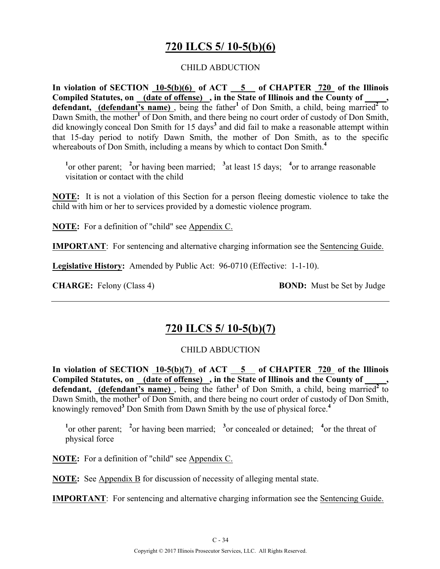# **720 ILCS 5/ 10-5(b)(6)**

#### CHILD ABDUCTION

**In violation of SECTION 10-5(b)(6) of ACT 5 of CHAPTER 720 of the Illinois Compiled Statutes, on (date of offense) , in the State of Illinois and the County of \_\_\_\_\_, defendant, (defendant's name)**, being the father<sup>1</sup> of Don Smith, a child, being married<sup>2</sup> to Dawn Smith, the mother<sup>1</sup> of Don Smith, and there being no court order of custody of Don Smith, did knowingly conceal Don Smith for 15 days<sup>3</sup> and did fail to make a reasonable attempt within that 15-day period to notify Dawn Smith, the mother of Don Smith, as to the specific whereabouts of Don Smith, including a means by which to contact Don Smith.**<sup>4</sup>**

<sup>1</sup><sup>or</sup> other parent; <sup>2</sup><sup>or</sup> having been married; <sup>3</sup><sub>d</sub> least 15 days; <sup>4</sup><sup>or</sup> to arrange reasonable visitation or contact with the child

**NOTE:** It is not a violation of this Section for a person fleeing domestic violence to take the child with him or her to services provided by a domestic violence program.

**NOTE:** For a definition of "child" see Appendix C.

**IMPORTANT**: For sentencing and alternative charging information see the Sentencing Guide.

**Legislative History:** Amended by Public Act: 96-0710 (Effective: 1-1-10).

**CHARGE:** Felony (Class 4) **BOND:** Must be Set by Judge

### **720 ILCS 5/ 10-5(b)(7)**

#### CHILD ABDUCTION

In violation of SECTION  $10-5(b)(7)$  of ACT  $\overline{5}$  of CHAPTER  $\overline{720}$  of the Illinois Compiled Statutes, on (date of offense), in the State of Illinois and the County of defendant, *(defendant's name)*, being the father<sup>1</sup> of Don Smith, a child, being married<sup>2</sup> to Dawn Smith, the mother<sup>1</sup> of Don Smith, and there being no court order of custody of Don Smith, knowingly removed**<sup>3</sup>** Don Smith from Dawn Smith by the use of physical force.**<sup>4</sup>**

<sup>1</sup><sup>or</sup> other parent; <sup>2</sup><sup>or</sup> having been married; <sup>3</sup><sup>or</sup> concealed or detained; <sup>4</sup><sup>or</sup> the threat of physical force

**NOTE:** For a definition of "child" see Appendix C.

**NOTE:** See Appendix B for discussion of necessity of alleging mental state.

**IMPORTANT**: For sentencing and alternative charging information see the Sentencing Guide.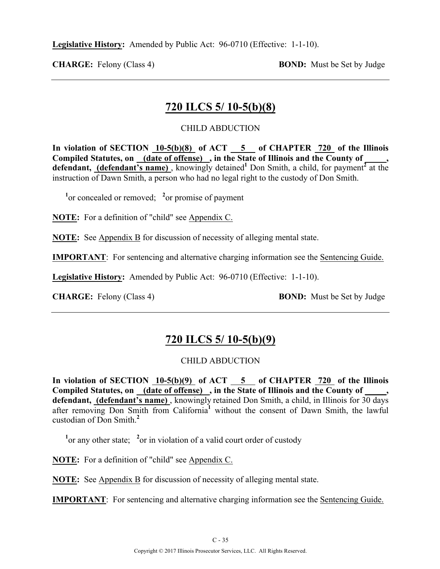**Legislative History:** Amended by Public Act: 96-0710 (Effective: 1-1-10).

**CHARGE:** Felony (Class 4) **BOND:** Must be Set by Judge

## **720 ILCS 5/ 10-5(b)(8)**

### CHILD ABDUCTION

In violation of SECTION 10-5(b)(8) of ACT 5 of CHAPTER 720 of the Illinois **Compiled Statutes, on (date of offense) , in the State of Illinois and the County of \_\_\_\_\_,**  defendant, (defendant's name), knowingly detained<sup>1</sup> Don Smith, a child, for payment<sup>2</sup> at the instruction of Dawn Smith, a person who had no legal right to the custody of Don Smith.

<sup>1</sup><sup>or</sup> concealed or removed; <sup>2</sup><sup>or</sup> promise of payment

**NOTE:** For a definition of "child" see Appendix C.

**NOTE:** See Appendix B for discussion of necessity of alleging mental state.

**IMPORTANT**: For sentencing and alternative charging information see the Sentencing Guide.

**Legislative History:** Amended by Public Act: 96-0710 (Effective: 1-1-10).

**CHARGE:** Felony (Class 4) **BOND:** Must be Set by Judge

### **720 ILCS 5/ 10-5(b)(9)**

### CHILD ABDUCTION

**In violation of SECTION 10-5(b)(9) of ACT 5 of CHAPTER 720 of the Illinois**  Compiled Statutes, on \_(date of offense) \_, in the State of Illinois and the County of \_ **defendant, (defendant's name)** , knowingly retained Don Smith, a child, in Illinois for 30 days after removing Don Smith from California**<sup>1</sup>** without the consent of Dawn Smith, the lawful custodian of Don Smith.**<sup>2</sup>**

<sup>1</sup> or any other state; <sup>2</sup> or in violation of a valid court order of custody

**NOTE:** For a definition of "child" see Appendix C.

**NOTE:** See Appendix B for discussion of necessity of alleging mental state.

**IMPORTANT**: For sentencing and alternative charging information see the Sentencing Guide.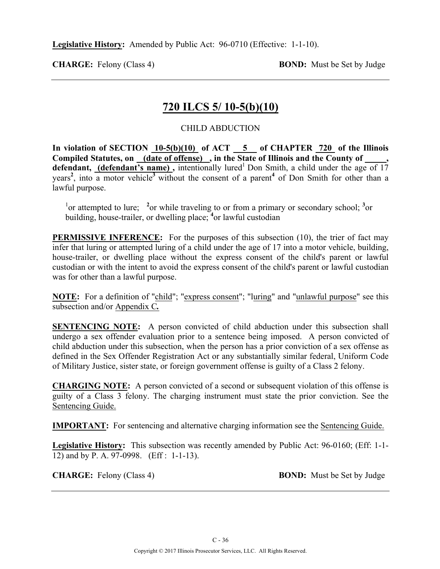**Legislative History:** Amended by Public Act: 96-0710 (Effective: 1-1-10).

**CHARGE:** Felony (Class 4) **BOND:** Must be Set by Judge

### **720 ILCS 5/ 10-5(b)(10)**

#### CHILD ABDUCTION

In violation of SECTION 10-5(b)(10) of ACT 5 of CHAPTER 720 of the Illinois **Compiled Statutes, on (date of offense) , in the State of Illinois and the County of \_\_\_\_\_,**  defendant, (defendant's name), intentionally lured<sup>1</sup> Don Smith, a child under the age of 17 years**<sup>2</sup>** , into a motor vehicle**<sup>3</sup>** without the consent of a parent**<sup>4</sup>** of Don Smith for other than a lawful purpose.

<sup>1</sup><sup>or</sup> attempted to lure; <sup>2</sup><sup>or</sup> while traveling to or from a primary or secondary school; <sup>3</sup><sup>or</sup> building, house-trailer, or dwelling place; <sup>4</sup> or lawful custodian

**PERMISSIVE INFERENCE:** For the purposes of this subsection (10), the trier of fact may infer that luring or attempted luring of a child under the age of 17 into a motor vehicle, building, house-trailer, or dwelling place without the express consent of the child's parent or lawful custodian or with the intent to avoid the express consent of the child's parent or lawful custodian was for other than a lawful purpose.

**NOTE:** For a definition of "child"; "express consent"; "luring" and "unlawful purpose" see this subsection and/or Appendix C*.*

**SENTENCING NOTE:** A person convicted of child abduction under this subsection shall undergo a sex offender evaluation prior to a sentence being imposed. A person convicted of child abduction under this subsection, when the person has a prior conviction of a sex offense as defined in the Sex Offender Registration Act or any substantially similar federal, Uniform Code of Military Justice, sister state, or foreign government offense is guilty of a Class 2 felony.

**CHARGING NOTE:** A person convicted of a second or subsequent violation of this offense is guilty of a Class 3 felony. The charging instrument must state the prior conviction. See the Sentencing Guide.

**IMPORTANT:** For sentencing and alternative charging information see the Sentencing Guide.

**Legislative History:** This subsection was recently amended by Public Act: 96-0160; (Eff: 1-1- 12) and by P. A. 97-0998. (Eff : 1-1-13).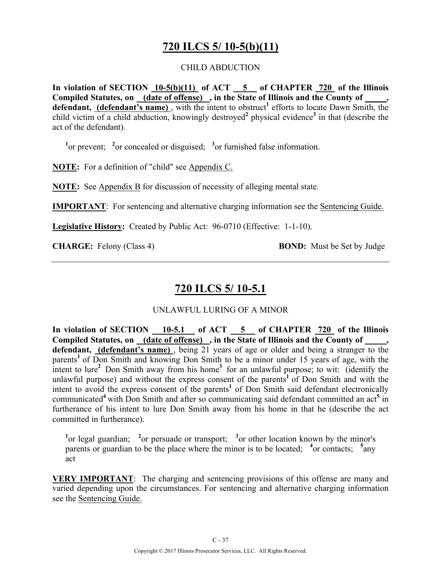## **720 ILCS 5/ 10-5(b)(11)**

#### CHILD ABDUCTION

**In violation of SECTION 10-5(b)(11) of ACT 5 of CHAPTER 720 of the Illinois Compiled Statutes, on (date of offense) , in the State of Illinois and the County of \_\_\_\_\_,**  defendant, (defendant's name), with the intent to obstruct<sup>1</sup> efforts to locate Dawn Smith, the child victim of a child abduction, knowingly destroyed**<sup>2</sup>** physical evidence**<sup>3</sup>** in that (describe the act of the defendant).

<sup>1</sup><sup>or</sup> prevent; <sup>2</sup><sup>or</sup> concealed or disguised; <sup>3</sup><sup>or</sup> furnished false information.

**NOTE:** For a definition of "child" see Appendix C.

**NOTE:** See Appendix B for discussion of necessity of alleging mental state.

**IMPORTANT**: For sentencing and alternative charging information see the Sentencing Guide.

**Legislative History:** Created by Public Act: 96-0710 (Effective: 1-1-10).

**CHARGE:** Felony (Class 4) **BOND:** Must be Set by Judge

## **720 ILCS 5/ 10-5.1**

UNLAWFUL LURING OF A MINOR

In violation of SECTION 10-5.1 of ACT 5 of CHAPTER 720 of the Illinois Compiled Statutes, on (date of offense), in the State of Illinois and the County of, defendant, (defendant's name), being 21 years of age or older and being a stranger to the parents<sup>1</sup> of Don Smith and knowing Don Smith to be a minor under 15 years of age, with the intent to lure<sup>2</sup> Don Smith away from his home<sup>3</sup> for an unlawful purpose; to wit: (identify the unlawful purpose) and without the express consent of the parents**<sup>1</sup>**of Don Smith and with the intent to avoid the express consent of the parents<sup>1</sup> of Don Smith said defendant electronically communicated**<sup>4</sup>**with Don Smith and after so communicating said defendant committed an act**<sup>5</sup>** in furtherance of his intent to lure Don Smith away from his home in that he (describe the act committed in furtherance).

<sup>1</sup><sup>or</sup> legal guardian; <sup>2</sup><sup>or</sup> persuade or transport; <sup>3</sup><sup>or</sup> other location known by the minor's parents or guardian to be the place where the minor is to be located; <sup>4</sup> or contacts; <sup>5</sup> any act

**VERY IMPORTANT**: The charging and sentencing provisions of this offense are many and varied depending upon the circumstances. For sentencing and alternative charging information see the Sentencing Guide.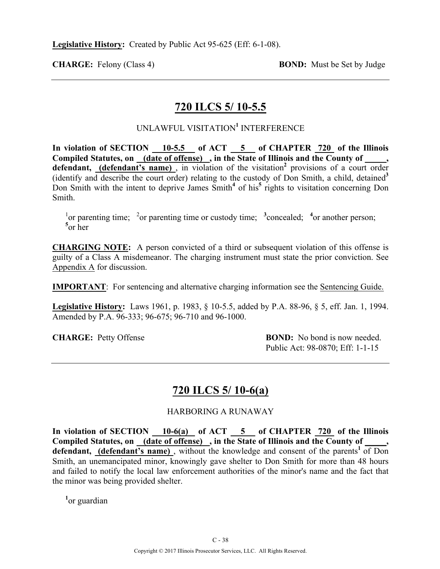### **720 ILCS 5/ 10-5.5**

### UNLAWFUL VISITATION**<sup>1</sup>** INTERFERENCE

In violation of SECTION 10-5.5 of ACT 5 of CHAPTER 720 of the Illinois **Compiled Statutes, on (date of offense) , in the State of Illinois and the County of \_\_\_\_\_,**  defendant, (defendant's name), in violation of the visitation<sup>2</sup> provisions of a court order (identify and describe the court order) relating to the custody of Don Smith, a child, detained**<sup>3</sup>** Don Smith with the intent to deprive James Smith**<sup>4</sup>** of his**<sup>5</sup>** rights to visitation concerning Don Smith.

<sup>1</sup> $\alpha$  parenting time; <sup>2</sup> $\alpha$  parenting time or custody time; <sup>3</sup> concealed; <sup>4</sup> $\alpha$  another person; **5** or her

**CHARGING NOTE:** A person convicted of a third or subsequent violation of this offense is guilty of a Class A misdemeanor. The charging instrument must state the prior conviction. See Appendix A for discussion.

**IMPORTANT**: For sentencing and alternative charging information see the Sentencing Guide.

**Legislative History:** Laws 1961, p. 1983, § 10-5.5, added by P.A. 88-96, § 5, eff. Jan. 1, 1994. Amended by P.A. 96-333; 96-675; 96-710 and 96-1000.

**CHARGE:** Petty Offense **BOND:** No bond is now needed. Public Act: 98-0870; Eff: 1-1-15

### **720 ILCS 5/ 10-6(a)**

### HARBORING A RUNAWAY

In violation of SECTION 10-6(a) of ACT 5 of CHAPTER 720 of the Illinois **Compiled Statutes, on (date of offense) , in the State of Illinois and the County of \_\_\_\_\_,**  defendant, (defendant's name), without the knowledge and consent of the parents<sup>1</sup> of Don Smith, an unemancipated minor, knowingly gave shelter to Don Smith for more than 48 hours and failed to notify the local law enforcement authorities of the minor's name and the fact that the minor was being provided shelter.

**1** or guardian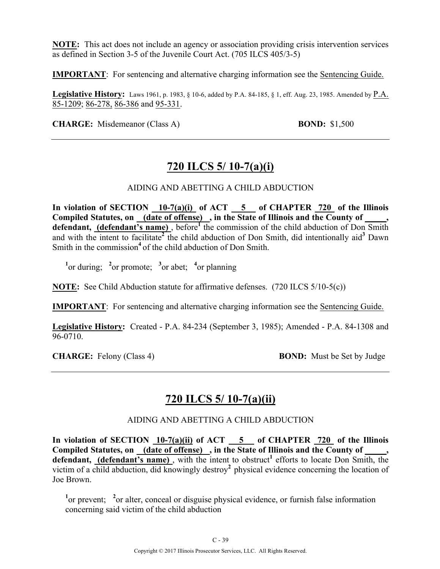**NOTE:** This act does not include an agency or association providing crisis intervention services as defined in Section 3-5 of the Juvenile Court Act. (705 ILCS 405/3-5)

**IMPORTANT**: For sentencing and alternative charging information see the Sentencing Guide.

**Legislative History:** Laws 1961, p. 1983, § 10-6, added by P.A. 84-185, § 1, eff. Aug. 23, 1985. Amended by P.A. 85-1209; 86-278, 86-386 and 95-331.

**CHARGE:** Misdemeanor (Class A) **BOND:** \$1,500

## **720 ILCS 5/ 10-7(a)(i)**

#### AIDING AND ABETTING A CHILD ABDUCTION

In violation of SECTION 10-7(a)(i) of ACT 5 of CHAPTER 720 of the Illinois Compiled Statutes, on <u>(date of offense)</u>, in the State of Illinois and the County of \_\_\_\_ **defendant, (defendant's name)** , before**<sup>1</sup>** the commission of the child abduction of Don Smith and with the intent to facilitate**<sup>2</sup>** the child abduction of Don Smith, did intentionally aid**<sup>3</sup>** Dawn Smith in the commission<sup>4</sup> of the child abduction of Don Smith.

 $\frac{1}{2}$  or during;  $\frac{2}{3}$  or promote;  $\frac{3}{2}$  or abet;  $\frac{4}{3}$  or planning

**NOTE:** See Child Abduction statute for affirmative defenses. (720 ILCS 5/10-5(c))

**IMPORTANT**: For sentencing and alternative charging information see the Sentencing Guide.

**Legislative History:** Created - P.A. 84-234 (September 3, 1985); Amended - P.A. 84-1308 and 96-0710.

**CHARGE:** Felony (Class 4) **BOND:** Must be Set by Judge

### **720 ILCS 5/ 10-7(a)(ii)**

### AIDING AND ABETTING A CHILD ABDUCTION

**In violation of SECTION 10-7(a)(ii) of ACT 5 of CHAPTER 720 of the Illinois**  Compiled Statutes, on (date of offense), in the State of Illinois and the County of \_\_\_\_, defendant, (defendant's name), with the intent to obstruct<sup>1</sup> efforts to locate Don Smith, the victim of a child abduction, did knowingly destroy<sup>2</sup> physical evidence concerning the location of Joe Brown.

<sup>1</sup><sup>or</sup> prevent; <sup>2</sup><sup>or</sup> alter, conceal or disguise physical evidence, or furnish false information concerning said victim of the child abduction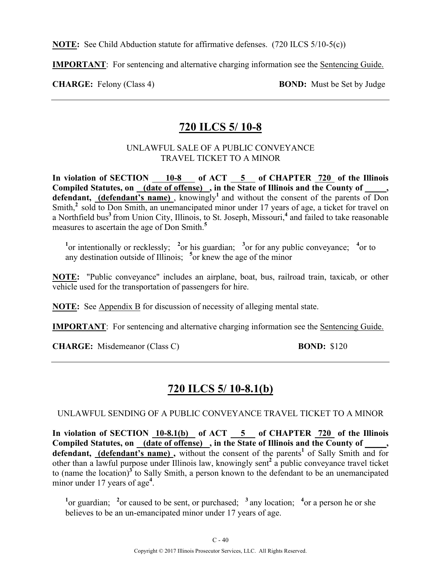**NOTE:** See Child Abduction statute for affirmative defenses. (720 ILCS 5/10-5(c))

**IMPORTANT**: For sentencing and alternative charging information see the Sentencing Guide.

**CHARGE:** Felony (Class 4) **BOND:** Must be Set by Judge

### **720 ILCS 5/ 10-8**

### UNLAWFUL SALE OF A PUBLIC CONVEYANCE TRAVEL TICKET TO A MINOR

**In violation of SECTION 10-8 of ACT 5 of CHAPTER 720 of the Illinois**  Compiled Statutes, on (date of offense), in the State of Illinois and the County of defendant, (defendant's name), knowingly<sup>1</sup> and without the consent of the parents of Don Smith,<sup>2</sup> sold to Don Smith, an unemancipated minor under 17 years of age, a ticket for travel on a Northfield bus**<sup>3</sup>**from Union City, Illinois, to St. Joseph, Missouri,**<sup>4</sup>** and failed to take reasonable measures to ascertain the age of Don Smith.**<sup>5</sup>**

<sup>1</sup> $\alpha$  intentionally or recklessly; <sup>2</sup> $\alpha$  his guardian; <sup>3</sup> $\alpha$  for any public conveyance; <sup>4</sup> $\alpha$ r to any destination outside of Illinois; **<sup>5</sup>** or knew the age of the minor

**NOTE:** "Public conveyance" includes an airplane, boat, bus, railroad train, taxicab, or other vehicle used for the transportation of passengers for hire.

**NOTE:** See Appendix B for discussion of necessity of alleging mental state.

**IMPORTANT**: For sentencing and alternative charging information see the Sentencing Guide.

**CHARGE:** Misdemeanor (Class C) **BOND:** \$120

## **720 ILCS 5/ 10-8.1(b)**

### UNLAWFUL SENDING OF A PUBLIC CONVEYANCE TRAVEL TICKET TO A MINOR

**In violation of SECTION 10-8.1(b) of ACT 5 of CHAPTER 720 of the Illinois**  Compiled Statutes, on <u>(date of offense)</u>, in the State of Illinois and the County of \_\_\_\_, defendant, (defendant's name), without the consent of the parents<sup>1</sup> of Sally Smith and for other than a lawful purpose under Illinois law, knowingly sent**<sup>2</sup>** a public conveyance travel ticket to (name the location)**<sup>3</sup>** to Sally Smith, a person known to the defendant to be an unemancipated minor under 17 years of age**<sup>4</sup>** .

<sup>1</sup> $\alpha$  purchased to be sent, or purchased; <sup>3</sup> any location; <sup>4</sup> $\alpha$  a person he or she believes to be an un-emancipated minor under 17 years of age.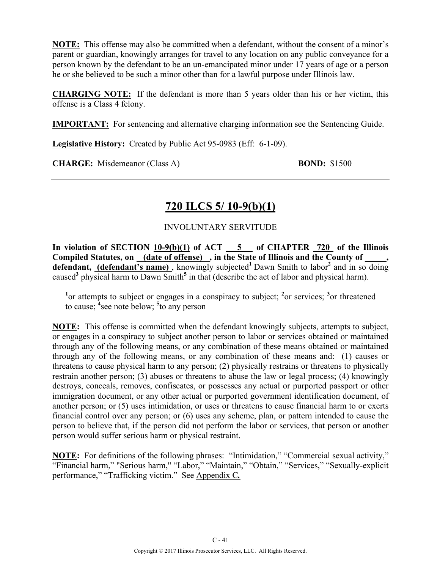**NOTE:** This offense may also be committed when a defendant, without the consent of a minor's parent or guardian, knowingly arranges for travel to any location on any public conveyance for a person known by the defendant to be an un-emancipated minor under 17 years of age or a person he or she believed to be such a minor other than for a lawful purpose under Illinois law.

**CHARGING NOTE:** If the defendant is more than 5 years older than his or her victim, this offense is a Class 4 felony.

**IMPORTANT:** For sentencing and alternative charging information see the Sentencing Guide.

**Legislative History:** Created by Public Act 95-0983 (Eff: 6-1-09).

**CHARGE:** Misdemeanor (Class A) **BOND:** \$1500

## **720 ILCS 5/ 10-9(b)(1)**

### INVOLUNTARY SERVITUDE

**In violation of SECTION 10-9(b)(1) of ACT 5 of CHAPTER 720 of the Illinois**  Compiled Statutes, on (date of offense), in the State of Illinois and the County of, defendant, (defendant's name), knowingly subjected<sup>1</sup> Dawn Smith to labor<sup>2</sup> and in so doing caused**<sup>3</sup>** physical harm to Dawn Smith**<sup>5</sup>** in that (describe the act of labor and physical harm).

<sup>1</sup><sup>or</sup> attempts to subject or engages in a conspiracy to subject; <sup>2</sup><sup>or</sup> services; <sup>3</sup><sup>or</sup> threatened to cause; **<sup>4</sup>** see note below; **<sup>5</sup>** to any person

**NOTE:** This offense is committed when the defendant knowingly subjects, attempts to subject, or engages in a conspiracy to subject another person to labor or services obtained or maintained through any of the following means, or any combination of these means obtained or maintained through any of the following means, or any combination of these means and: (1) causes or threatens to cause physical harm to any person; (2) physically restrains or threatens to physically restrain another person; (3) abuses or threatens to abuse the law or legal process; (4) knowingly destroys, conceals, removes, confiscates, or possesses any actual or purported passport or other immigration document, or any other actual or purported government identification document, of another person; or (5) uses intimidation, or uses or threatens to cause financial harm to or exerts financial control over any person; or (6) uses any scheme, plan, or pattern intended to cause the person to believe that, if the person did not perform the labor or services, that person or another person would suffer serious harm or physical restraint.

**NOTE:** For definitions of the following phrases: "Intimidation," "Commercial sexual activity," "Financial harm," "Serious harm," "Labor," "Maintain," "Obtain," "Services," "Sexually-explicit performance," "Trafficking victim." See Appendix C*.*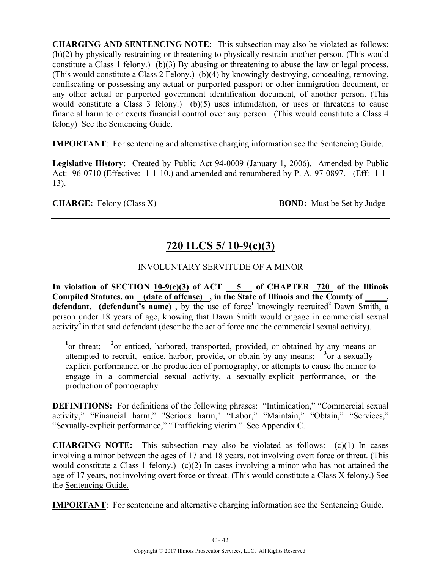**CHARGING AND SENTENCING NOTE:** This subsection may also be violated as follows: (b)(2) by physically restraining or threatening to physically restrain another person. (This would constitute a Class 1 felony.) (b)(3) By abusing or threatening to abuse the law or legal process. (This would constitute a Class 2 Felony.) (b)(4) by knowingly destroying, concealing, removing, confiscating or possessing any actual or purported passport or other immigration document, or any other actual or purported government identification document, of another person. (This would constitute a Class 3 felony.) (b)(5) uses intimidation, or uses or threatens to cause financial harm to or exerts financial control over any person. (This would constitute a Class 4 felony) See the Sentencing Guide.

**IMPORTANT**: For sentencing and alternative charging information see the Sentencing Guide.

**Legislative History:** Created by Public Act 94-0009 (January 1, 2006). Amended by Public Act: 96-0710 (Effective: 1-1-10.) and amended and renumbered by P. A. 97-0897. (Eff: 1-1- 13).

**CHARGE:** Felony (Class X) **BOND:** Must be Set by Judge

# **720 ILCS 5/ 10-9(c)(3)**

### INVOLUNTARY SERVITUDE OF A MINOR

In violation of SECTION  $10-9(c)(3)$  of ACT  $-5$  of CHAPTER  $720$  of the Illinois **Compiled Statutes, on (date of offense) , in the State of Illinois and the County of \_\_\_\_\_, defendant, (defendant's name)**, by the use of force<sup>1</sup> knowingly recruited<sup>2</sup> Dawn Smith, a person under 18 years of age, knowing that Dawn Smith would engage in commercial sexual activity**<sup>3</sup>**in that said defendant (describe the act of force and the commercial sexual activity).

<sup>1</sup><sup>or threat; <sup>2</sup><sup>or</sup> enticed, harbored, transported, provided, or obtained by any means or</sup> attempted to recruit, entice, harbor, provide, or obtain by any means; <sup>3</sup> or a sexuallyexplicit performance, or the production of pornography, or attempts to cause the minor to engage in a commercial sexual activity, a sexually-explicit performance, or the production of pornography

**DEFINITIONS:** For definitions of the following phrases: "Intimidation," "Commercial sexual activity," "Financial harm," "Serious harm," "Labor," "Maintain," "Obtain," "Services," "Sexually-explicit performance," "Trafficking victim." See Appendix C.

**CHARGING NOTE:** This subsection may also be violated as follows: (c)(1) In cases involving a minor between the ages of 17 and 18 years, not involving overt force or threat. (This would constitute a Class 1 felony.) (c)(2) In cases involving a minor who has not attained the age of 17 years, not involving overt force or threat. (This would constitute a Class X felony.) See the Sentencing Guide.

**IMPORTANT**: For sentencing and alternative charging information see the Sentencing Guide.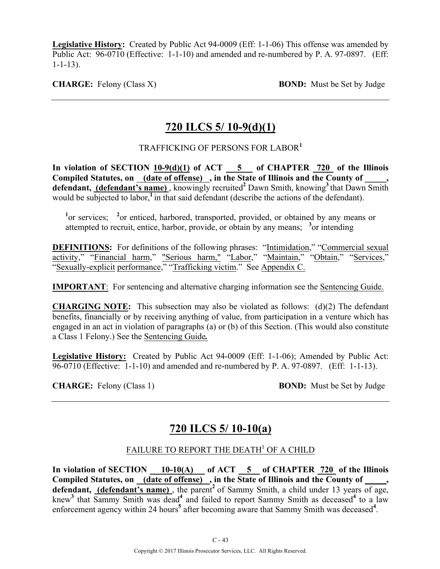**Legislative History:** Created by Public Act 94-0009 (Eff: 1-1-06) This offense was amended by Public Act: 96-0710 (Effective: 1-1-10) and amended and re-numbered by P. A. 97-0897. (Eff: 1-1-13).

**CHARGE:** Felony (Class X) **BOND:** Must be Set by Judge

# **720 ILCS 5/ 10-9(d)(1)**

### TRAFFICKING OF PERSONS FOR LABOR**<sup>1</sup>**

**In violation of SECTION 10-9(d)(1) of ACT 5 of CHAPTER 720 of the Illinois**  Compiled Statutes, on (date of offense), in the State of Illinois and the County of **defendant, (defendant's name)** , knowingly recruited**<sup>2</sup>** Dawn Smith, knowing**<sup>3</sup>**that Dawn Smith would be subjected to labor,<sup>1</sup> in that said defendant (describe the actions of the defendant).

<sup>1</sup><sup>or services; <sup>2</sup><sub>or</sub> enticed, harbored, transported, provided, or obtained by any means or</sup> attempted to recruit, entice, harbor, provide, or obtain by any means; **<sup>3</sup>** or intending

**DEFINITIONS:** For definitions of the following phrases: "Intimidation," "Commercial sexual activity," "Financial harm," "Serious harm," "Labor," "Maintain," "Obtain," "Services," "Sexually-explicit performance," "Trafficking victim." See Appendix C.

**IMPORTANT:** For sentencing and alternative charging information see the Sentencing Guide.

**CHARGING NOTE:** This subsection may also be violated as follows: (d)(2) The defendant benefits, financially or by receiving anything of value, from participation in a venture which has engaged in an act in violation of paragraphs (a) or (b) of this Section. (This would also constitute a Class 1 Felony.) See the Sentencing Guide*.*

**Legislative History:** Created by Public Act 94-0009 (Eff: 1-1-06); Amended by Public Act: 96-0710 (Effective: 1-1-10) and amended and re-numbered by P. A. 97-0897. (Eff: 1-1-13).

**CHARGE:** Felony (Class 1) **BOND:** Must be Set by Judge

## **720 ILCS 5/ 10-10(a)**

### FAILURE TO REPORT THE DEATH<sup>1</sup> OF A CHILD

In violation of SECTION 10-10(A) of ACT 5 of CHAPTER 720 of the Illinois Compiled Statutes, on (date of offense), in the State of Illinois and the County of defendant, (defendant's name), the parent<sup>2</sup> of Sammy Smith, a child under 13 years of age, knew<sup>3</sup> that Sammy Smith was dead<sup>4</sup> and failed to report Sammy Smith as deceased<sup>4</sup> to a law enforcement agency within 24 hours<sup>5</sup> after becoming aware that Sammy Smith was deceased<sup>4</sup>.